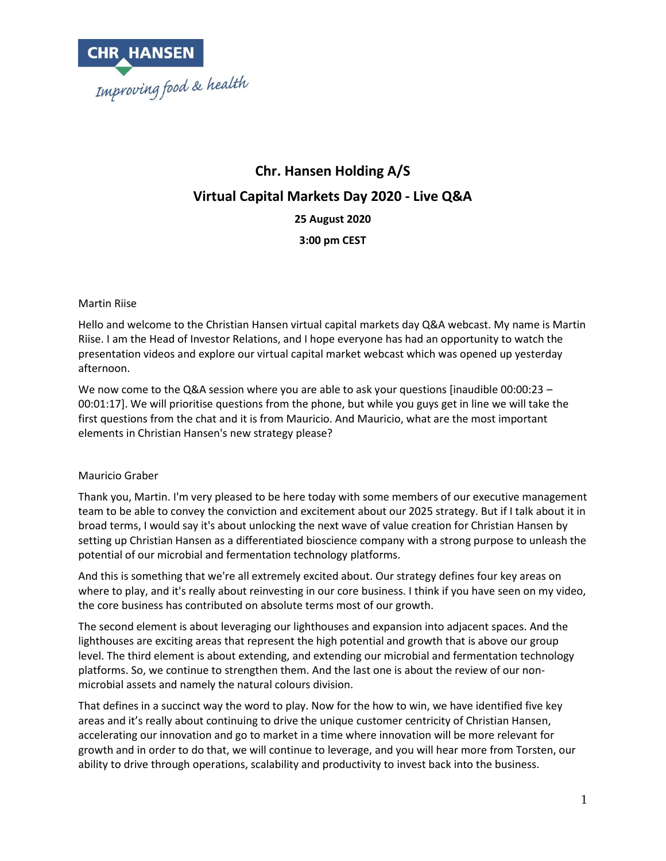

# **Chr. Hansen Holding A/S Virtual Capital Markets Day 2020 - Live Q&A 25 August 2020 3:00 pm CEST**

#### Martin Riise

Hello and welcome to the Christian Hansen virtual capital markets day Q&A webcast. My name is Martin Riise. I am the Head of Investor Relations, and I hope everyone has had an opportunity to watch the presentation videos and explore our virtual capital market webcast which was opened up yesterday afternoon.

We now come to the Q&A session where you are able to ask your questions [inaudible 00:00:23 – 00:01:17]. We will prioritise questions from the phone, but while you guys get in line we will take the first questions from the chat and it is from Mauricio. And Mauricio, what are the most important elements in Christian Hansen's new strategy please?

## Mauricio Graber

Thank you, Martin. I'm very pleased to be here today with some members of our executive management team to be able to convey the conviction and excitement about our 2025 strategy. But if I talk about it in broad terms, I would say it's about unlocking the next wave of value creation for Christian Hansen by setting up Christian Hansen as a differentiated bioscience company with a strong purpose to unleash the potential of our microbial and fermentation technology platforms.

And this is something that we're all extremely excited about. Our strategy defines four key areas on where to play, and it's really about reinvesting in our core business. I think if you have seen on my video, the core business has contributed on absolute terms most of our growth.

The second element is about leveraging our lighthouses and expansion into adjacent spaces. And the lighthouses are exciting areas that represent the high potential and growth that is above our group level. The third element is about extending, and extending our microbial and fermentation technology platforms. So, we continue to strengthen them. And the last one is about the review of our nonmicrobial assets and namely the natural colours division.

That defines in a succinct way the word to play. Now for the how to win, we have identified five key areas and it's really about continuing to drive the unique customer centricity of Christian Hansen, accelerating our innovation and go to market in a time where innovation will be more relevant for growth and in order to do that, we will continue to leverage, and you will hear more from Torsten, our ability to drive through operations, scalability and productivity to invest back into the business.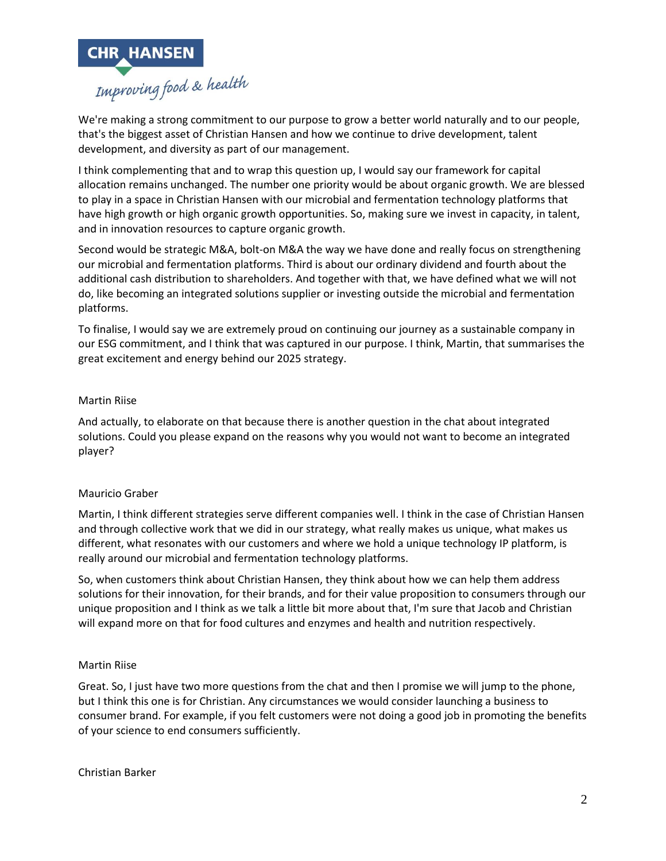

We're making a strong commitment to our purpose to grow a better world naturally and to our people, that's the biggest asset of Christian Hansen and how we continue to drive development, talent development, and diversity as part of our management.

I think complementing that and to wrap this question up, I would say our framework for capital allocation remains unchanged. The number one priority would be about organic growth. We are blessed to play in a space in Christian Hansen with our microbial and fermentation technology platforms that have high growth or high organic growth opportunities. So, making sure we invest in capacity, in talent, and in innovation resources to capture organic growth.

Second would be strategic M&A, bolt-on M&A the way we have done and really focus on strengthening our microbial and fermentation platforms. Third is about our ordinary dividend and fourth about the additional cash distribution to shareholders. And together with that, we have defined what we will not do, like becoming an integrated solutions supplier or investing outside the microbial and fermentation platforms.

To finalise, I would say we are extremely proud on continuing our journey as a sustainable company in our ESG commitment, and I think that was captured in our purpose. I think, Martin, that summarises the great excitement and energy behind our 2025 strategy.

#### Martin Riise

And actually, to elaborate on that because there is another question in the chat about integrated solutions. Could you please expand on the reasons why you would not want to become an integrated player?

## Mauricio Graber

Martin, I think different strategies serve different companies well. I think in the case of Christian Hansen and through collective work that we did in our strategy, what really makes us unique, what makes us different, what resonates with our customers and where we hold a unique technology IP platform, is really around our microbial and fermentation technology platforms.

So, when customers think about Christian Hansen, they think about how we can help them address solutions for their innovation, for their brands, and for their value proposition to consumers through our unique proposition and I think as we talk a little bit more about that, I'm sure that Jacob and Christian will expand more on that for food cultures and enzymes and health and nutrition respectively.

#### Martin Riise

Great. So, I just have two more questions from the chat and then I promise we will jump to the phone, but I think this one is for Christian. Any circumstances we would consider launching a business to consumer brand. For example, if you felt customers were not doing a good job in promoting the benefits of your science to end consumers sufficiently.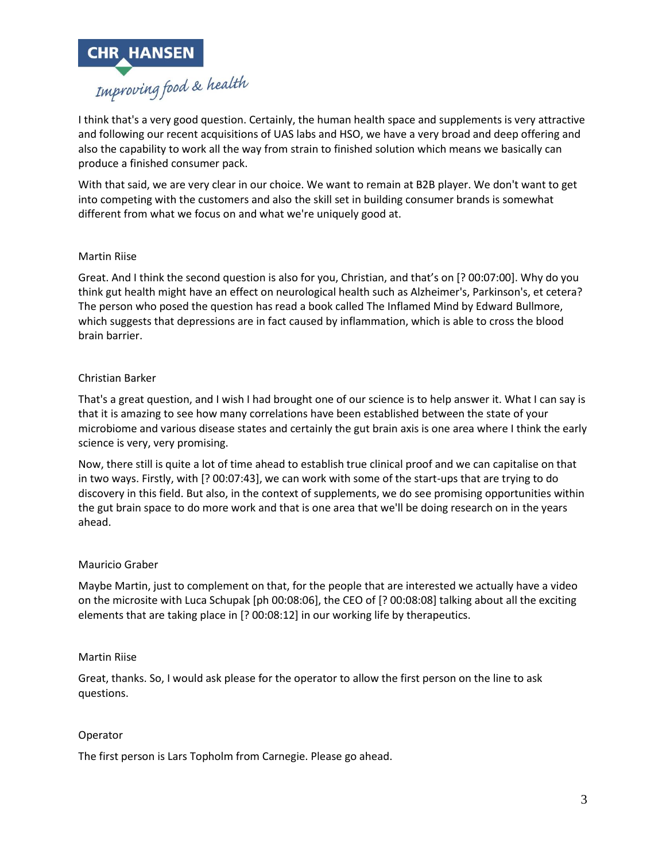

I think that's a very good question. Certainly, the human health space and supplements is very attractive and following our recent acquisitions of UAS labs and HSO, we have a very broad and deep offering and also the capability to work all the way from strain to finished solution which means we basically can produce a finished consumer pack.

With that said, we are very clear in our choice. We want to remain at B2B player. We don't want to get into competing with the customers and also the skill set in building consumer brands is somewhat different from what we focus on and what we're uniquely good at.

#### Martin Riise

Great. And I think the second question is also for you, Christian, and that's on [? 00:07:00]. Why do you think gut health might have an effect on neurological health such as Alzheimer's, Parkinson's, et cetera? The person who posed the question has read a book called The Inflamed Mind by Edward Bullmore, which suggests that depressions are in fact caused by inflammation, which is able to cross the blood brain barrier.

#### Christian Barker

That's a great question, and I wish I had brought one of our science is to help answer it. What I can say is that it is amazing to see how many correlations have been established between the state of your microbiome and various disease states and certainly the gut brain axis is one area where I think the early science is very, very promising.

Now, there still is quite a lot of time ahead to establish true clinical proof and we can capitalise on that in two ways. Firstly, with [? 00:07:43], we can work with some of the start-ups that are trying to do discovery in this field. But also, in the context of supplements, we do see promising opportunities within the gut brain space to do more work and that is one area that we'll be doing research on in the years ahead.

## Mauricio Graber

Maybe Martin, just to complement on that, for the people that are interested we actually have a video on the microsite with Luca Schupak [ph 00:08:06], the CEO of [? 00:08:08] talking about all the exciting elements that are taking place in [? 00:08:12] in our working life by therapeutics.

#### Martin Riise

Great, thanks. So, I would ask please for the operator to allow the first person on the line to ask questions.

#### Operator

The first person is Lars Topholm from Carnegie. Please go ahead.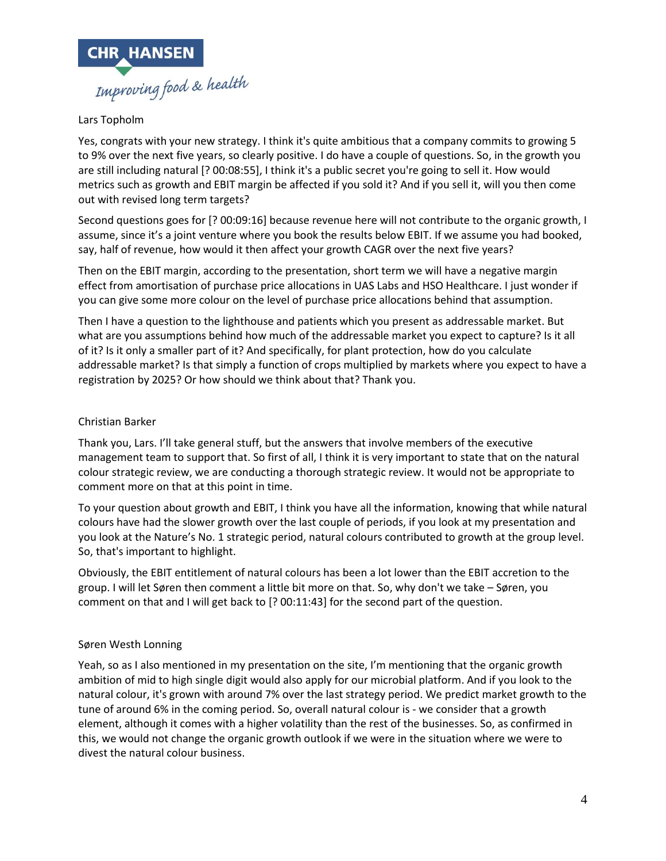

# Lars Topholm

Yes, congrats with your new strategy. I think it's quite ambitious that a company commits to growing 5 to 9% over the next five years, so clearly positive. I do have a couple of questions. So, in the growth you are still including natural [? 00:08:55], I think it's a public secret you're going to sell it. How would metrics such as growth and EBIT margin be affected if you sold it? And if you sell it, will you then come out with revised long term targets?

Second questions goes for [? 00:09:16] because revenue here will not contribute to the organic growth, I assume, since it's a joint venture where you book the results below EBIT. If we assume you had booked, say, half of revenue, how would it then affect your growth CAGR over the next five years?

Then on the EBIT margin, according to the presentation, short term we will have a negative margin effect from amortisation of purchase price allocations in UAS Labs and HSO Healthcare. I just wonder if you can give some more colour on the level of purchase price allocations behind that assumption.

Then I have a question to the lighthouse and patients which you present as addressable market. But what are you assumptions behind how much of the addressable market you expect to capture? Is it all of it? Is it only a smaller part of it? And specifically, for plant protection, how do you calculate addressable market? Is that simply a function of crops multiplied by markets where you expect to have a registration by 2025? Or how should we think about that? Thank you.

# Christian Barker

Thank you, Lars. I'll take general stuff, but the answers that involve members of the executive management team to support that. So first of all, I think it is very important to state that on the natural colour strategic review, we are conducting a thorough strategic review. It would not be appropriate to comment more on that at this point in time.

To your question about growth and EBIT, I think you have all the information, knowing that while natural colours have had the slower growth over the last couple of periods, if you look at my presentation and you look at the Nature's No. 1 strategic period, natural colours contributed to growth at the group level. So, that's important to highlight.

Obviously, the EBIT entitlement of natural colours has been a lot lower than the EBIT accretion to the group. I will let Søren then comment a little bit more on that. So, why don't we take – Søren, you comment on that and I will get back to [? 00:11:43] for the second part of the question.

## Søren Westh Lonning

Yeah, so as I also mentioned in my presentation on the site, I'm mentioning that the organic growth ambition of mid to high single digit would also apply for our microbial platform. And if you look to the natural colour, it's grown with around 7% over the last strategy period. We predict market growth to the tune of around 6% in the coming period. So, overall natural colour is - we consider that a growth element, although it comes with a higher volatility than the rest of the businesses. So, as confirmed in this, we would not change the organic growth outlook if we were in the situation where we were to divest the natural colour business.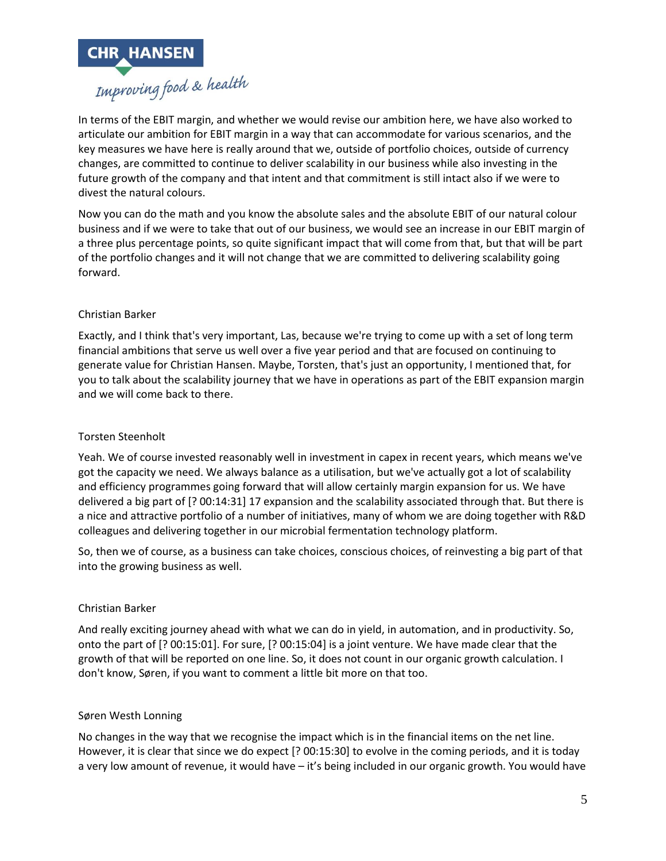

In terms of the EBIT margin, and whether we would revise our ambition here, we have also worked to articulate our ambition for EBIT margin in a way that can accommodate for various scenarios, and the key measures we have here is really around that we, outside of portfolio choices, outside of currency changes, are committed to continue to deliver scalability in our business while also investing in the future growth of the company and that intent and that commitment is still intact also if we were to divest the natural colours.

Now you can do the math and you know the absolute sales and the absolute EBIT of our natural colour business and if we were to take that out of our business, we would see an increase in our EBIT margin of a three plus percentage points, so quite significant impact that will come from that, but that will be part of the portfolio changes and it will not change that we are committed to delivering scalability going forward.

# Christian Barker

Exactly, and I think that's very important, Las, because we're trying to come up with a set of long term financial ambitions that serve us well over a five year period and that are focused on continuing to generate value for Christian Hansen. Maybe, Torsten, that's just an opportunity, I mentioned that, for you to talk about the scalability journey that we have in operations as part of the EBIT expansion margin and we will come back to there.

# Torsten Steenholt

Yeah. We of course invested reasonably well in investment in capex in recent years, which means we've got the capacity we need. We always balance as a utilisation, but we've actually got a lot of scalability and efficiency programmes going forward that will allow certainly margin expansion for us. We have delivered a big part of [? 00:14:31] 17 expansion and the scalability associated through that. But there is a nice and attractive portfolio of a number of initiatives, many of whom we are doing together with R&D colleagues and delivering together in our microbial fermentation technology platform.

So, then we of course, as a business can take choices, conscious choices, of reinvesting a big part of that into the growing business as well.

## Christian Barker

And really exciting journey ahead with what we can do in yield, in automation, and in productivity. So, onto the part of [? 00:15:01]. For sure, [? 00:15:04] is a joint venture. We have made clear that the growth of that will be reported on one line. So, it does not count in our organic growth calculation. I don't know, Søren, if you want to comment a little bit more on that too.

## Søren Westh Lonning

No changes in the way that we recognise the impact which is in the financial items on the net line. However, it is clear that since we do expect [? 00:15:30] to evolve in the coming periods, and it is today a very low amount of revenue, it would have – it's being included in our organic growth. You would have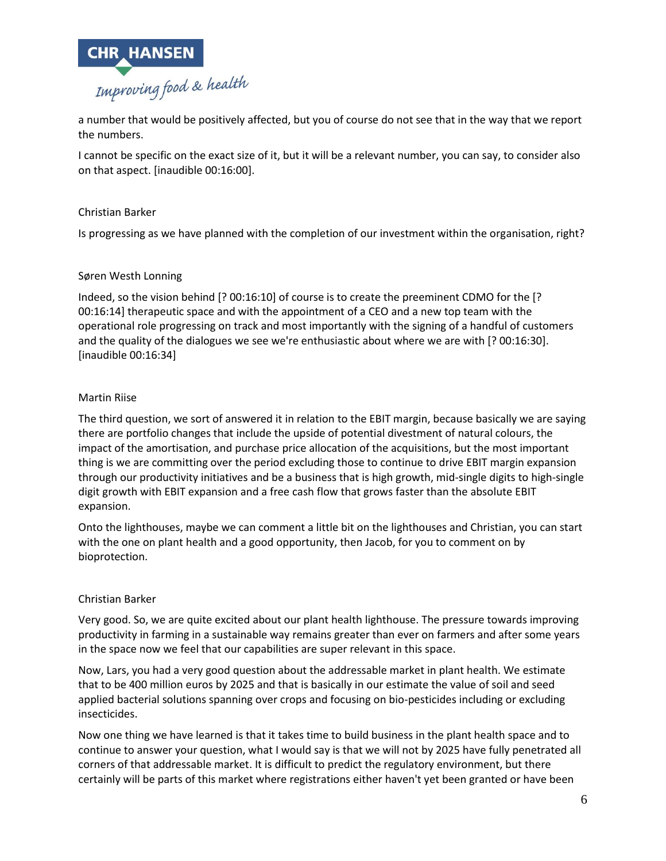

a number that would be positively affected, but you of course do not see that in the way that we report the numbers.

I cannot be specific on the exact size of it, but it will be a relevant number, you can say, to consider also on that aspect. [inaudible 00:16:00].

## Christian Barker

Is progressing as we have planned with the completion of our investment within the organisation, right?

#### Søren Westh Lonning

Indeed, so the vision behind [? 00:16:10] of course is to create the preeminent CDMO for the [? 00:16:14] therapeutic space and with the appointment of a CEO and a new top team with the operational role progressing on track and most importantly with the signing of a handful of customers and the quality of the dialogues we see we're enthusiastic about where we are with [? 00:16:30]. [inaudible 00:16:34]

#### Martin Riise

The third question, we sort of answered it in relation to the EBIT margin, because basically we are saying there are portfolio changes that include the upside of potential divestment of natural colours, the impact of the amortisation, and purchase price allocation of the acquisitions, but the most important thing is we are committing over the period excluding those to continue to drive EBIT margin expansion through our productivity initiatives and be a business that is high growth, mid-single digits to high-single digit growth with EBIT expansion and a free cash flow that grows faster than the absolute EBIT expansion.

Onto the lighthouses, maybe we can comment a little bit on the lighthouses and Christian, you can start with the one on plant health and a good opportunity, then Jacob, for you to comment on by bioprotection.

#### Christian Barker

Very good. So, we are quite excited about our plant health lighthouse. The pressure towards improving productivity in farming in a sustainable way remains greater than ever on farmers and after some years in the space now we feel that our capabilities are super relevant in this space.

Now, Lars, you had a very good question about the addressable market in plant health. We estimate that to be 400 million euros by 2025 and that is basically in our estimate the value of soil and seed applied bacterial solutions spanning over crops and focusing on bio-pesticides including or excluding insecticides.

Now one thing we have learned is that it takes time to build business in the plant health space and to continue to answer your question, what I would say is that we will not by 2025 have fully penetrated all corners of that addressable market. It is difficult to predict the regulatory environment, but there certainly will be parts of this market where registrations either haven't yet been granted or have been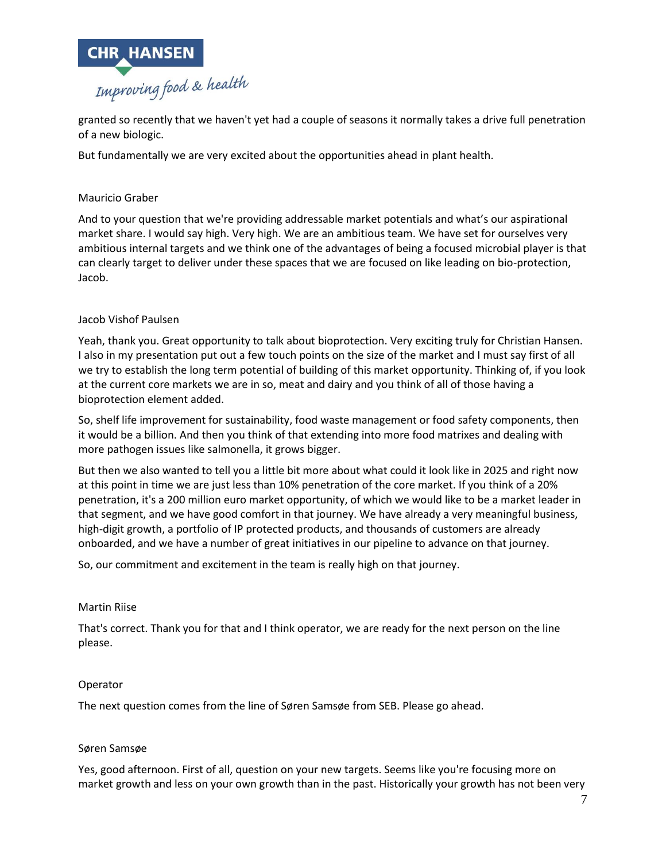

granted so recently that we haven't yet had a couple of seasons it normally takes a drive full penetration of a new biologic.

But fundamentally we are very excited about the opportunities ahead in plant health.

# Mauricio Graber

And to your question that we're providing addressable market potentials and what's our aspirational market share. I would say high. Very high. We are an ambitious team. We have set for ourselves very ambitious internal targets and we think one of the advantages of being a focused microbial player is that can clearly target to deliver under these spaces that we are focused on like leading on bio-protection, Jacob.

## Jacob Vishof Paulsen

Yeah, thank you. Great opportunity to talk about bioprotection. Very exciting truly for Christian Hansen. I also in my presentation put out a few touch points on the size of the market and I must say first of all we try to establish the long term potential of building of this market opportunity. Thinking of, if you look at the current core markets we are in so, meat and dairy and you think of all of those having a bioprotection element added.

So, shelf life improvement for sustainability, food waste management or food safety components, then it would be a billion. And then you think of that extending into more food matrixes and dealing with more pathogen issues like salmonella, it grows bigger.

But then we also wanted to tell you a little bit more about what could it look like in 2025 and right now at this point in time we are just less than 10% penetration of the core market. If you think of a 20% penetration, it's a 200 million euro market opportunity, of which we would like to be a market leader in that segment, and we have good comfort in that journey. We have already a very meaningful business, high-digit growth, a portfolio of IP protected products, and thousands of customers are already onboarded, and we have a number of great initiatives in our pipeline to advance on that journey.

So, our commitment and excitement in the team is really high on that journey.

## Martin Riise

That's correct. Thank you for that and I think operator, we are ready for the next person on the line please.

## Operator

The next question comes from the line of Søren Samsøe from SEB. Please go ahead.

## Søren Samsøe

Yes, good afternoon. First of all, question on your new targets. Seems like you're focusing more on market growth and less on your own growth than in the past. Historically your growth has not been very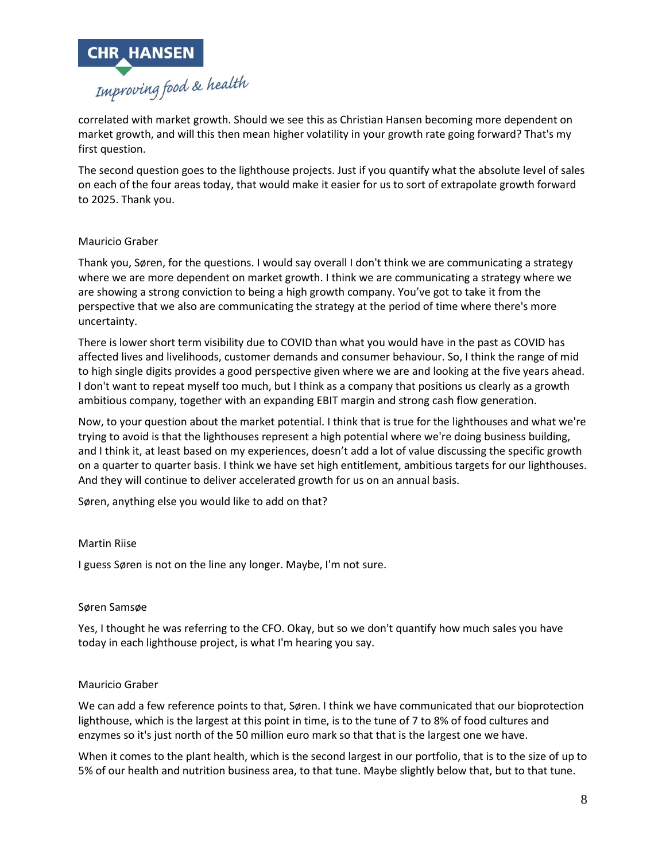

correlated with market growth. Should we see this as Christian Hansen becoming more dependent on market growth, and will this then mean higher volatility in your growth rate going forward? That's my first question.

The second question goes to the lighthouse projects. Just if you quantify what the absolute level of sales on each of the four areas today, that would make it easier for us to sort of extrapolate growth forward to 2025. Thank you.

## Mauricio Graber

Thank you, Søren, for the questions. I would say overall I don't think we are communicating a strategy where we are more dependent on market growth. I think we are communicating a strategy where we are showing a strong conviction to being a high growth company. You've got to take it from the perspective that we also are communicating the strategy at the period of time where there's more uncertainty.

There is lower short term visibility due to COVID than what you would have in the past as COVID has affected lives and livelihoods, customer demands and consumer behaviour. So, I think the range of mid to high single digits provides a good perspective given where we are and looking at the five years ahead. I don't want to repeat myself too much, but I think as a company that positions us clearly as a growth ambitious company, together with an expanding EBIT margin and strong cash flow generation.

Now, to your question about the market potential. I think that is true for the lighthouses and what we're trying to avoid is that the lighthouses represent a high potential where we're doing business building, and I think it, at least based on my experiences, doesn't add a lot of value discussing the specific growth on a quarter to quarter basis. I think we have set high entitlement, ambitious targets for our lighthouses. And they will continue to deliver accelerated growth for us on an annual basis.

Søren, anything else you would like to add on that?

## Martin Riise

I guess Søren is not on the line any longer. Maybe, I'm not sure.

#### Søren Samsøe

Yes, I thought he was referring to the CFO. Okay, but so we don't quantify how much sales you have today in each lighthouse project, is what I'm hearing you say.

## Mauricio Graber

We can add a few reference points to that, Søren. I think we have communicated that our bioprotection lighthouse, which is the largest at this point in time, is to the tune of 7 to 8% of food cultures and enzymes so it's just north of the 50 million euro mark so that that is the largest one we have.

When it comes to the plant health, which is the second largest in our portfolio, that is to the size of up to 5% of our health and nutrition business area, to that tune. Maybe slightly below that, but to that tune.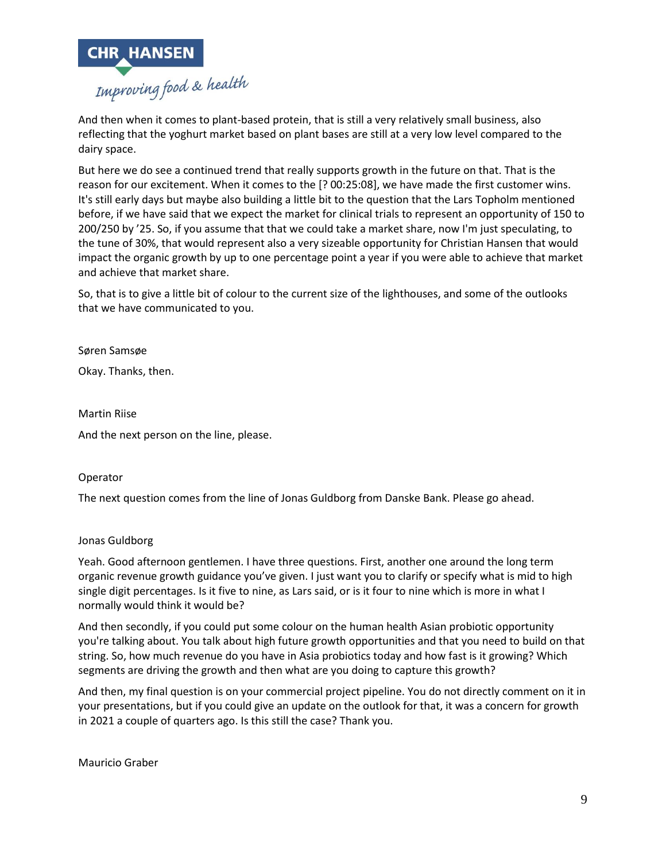

And then when it comes to plant-based protein, that is still a very relatively small business, also reflecting that the yoghurt market based on plant bases are still at a very low level compared to the dairy space.

But here we do see a continued trend that really supports growth in the future on that. That is the reason for our excitement. When it comes to the [? 00:25:08], we have made the first customer wins. It's still early days but maybe also building a little bit to the question that the Lars Topholm mentioned before, if we have said that we expect the market for clinical trials to represent an opportunity of 150 to 200/250 by '25. So, if you assume that that we could take a market share, now I'm just speculating, to the tune of 30%, that would represent also a very sizeable opportunity for Christian Hansen that would impact the organic growth by up to one percentage point a year if you were able to achieve that market and achieve that market share.

So, that is to give a little bit of colour to the current size of the lighthouses, and some of the outlooks that we have communicated to you.

Søren Samsøe

Okay. Thanks, then.

Martin Riise And the next person on the line, please.

## Operator

The next question comes from the line of Jonas Guldborg from Danske Bank. Please go ahead.

#### Jonas Guldborg

Yeah. Good afternoon gentlemen. I have three questions. First, another one around the long term organic revenue growth guidance you've given. I just want you to clarify or specify what is mid to high single digit percentages. Is it five to nine, as Lars said, or is it four to nine which is more in what I normally would think it would be?

And then secondly, if you could put some colour on the human health Asian probiotic opportunity you're talking about. You talk about high future growth opportunities and that you need to build on that string. So, how much revenue do you have in Asia probiotics today and how fast is it growing? Which segments are driving the growth and then what are you doing to capture this growth?

And then, my final question is on your commercial project pipeline. You do not directly comment on it in your presentations, but if you could give an update on the outlook for that, it was a concern for growth in 2021 a couple of quarters ago. Is this still the case? Thank you.

Mauricio Graber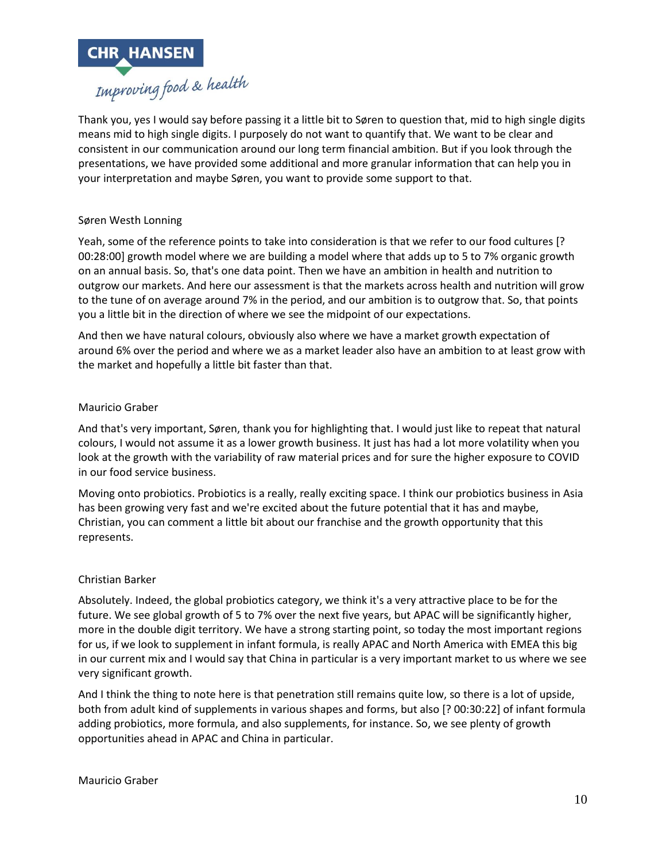

Thank you, yes I would say before passing it a little bit to Søren to question that, mid to high single digits means mid to high single digits. I purposely do not want to quantify that. We want to be clear and consistent in our communication around our long term financial ambition. But if you look through the presentations, we have provided some additional and more granular information that can help you in your interpretation and maybe Søren, you want to provide some support to that.

## Søren Westh Lonning

Yeah, some of the reference points to take into consideration is that we refer to our food cultures [? 00:28:00] growth model where we are building a model where that adds up to 5 to 7% organic growth on an annual basis. So, that's one data point. Then we have an ambition in health and nutrition to outgrow our markets. And here our assessment is that the markets across health and nutrition will grow to the tune of on average around 7% in the period, and our ambition is to outgrow that. So, that points you a little bit in the direction of where we see the midpoint of our expectations.

And then we have natural colours, obviously also where we have a market growth expectation of around 6% over the period and where we as a market leader also have an ambition to at least grow with the market and hopefully a little bit faster than that.

#### Mauricio Graber

And that's very important, Søren, thank you for highlighting that. I would just like to repeat that natural colours, I would not assume it as a lower growth business. It just has had a lot more volatility when you look at the growth with the variability of raw material prices and for sure the higher exposure to COVID in our food service business.

Moving onto probiotics. Probiotics is a really, really exciting space. I think our probiotics business in Asia has been growing very fast and we're excited about the future potential that it has and maybe, Christian, you can comment a little bit about our franchise and the growth opportunity that this represents.

#### Christian Barker

Absolutely. Indeed, the global probiotics category, we think it's a very attractive place to be for the future. We see global growth of 5 to 7% over the next five years, but APAC will be significantly higher, more in the double digit territory. We have a strong starting point, so today the most important regions for us, if we look to supplement in infant formula, is really APAC and North America with EMEA this big in our current mix and I would say that China in particular is a very important market to us where we see very significant growth.

And I think the thing to note here is that penetration still remains quite low, so there is a lot of upside, both from adult kind of supplements in various shapes and forms, but also [? 00:30:22] of infant formula adding probiotics, more formula, and also supplements, for instance. So, we see plenty of growth opportunities ahead in APAC and China in particular.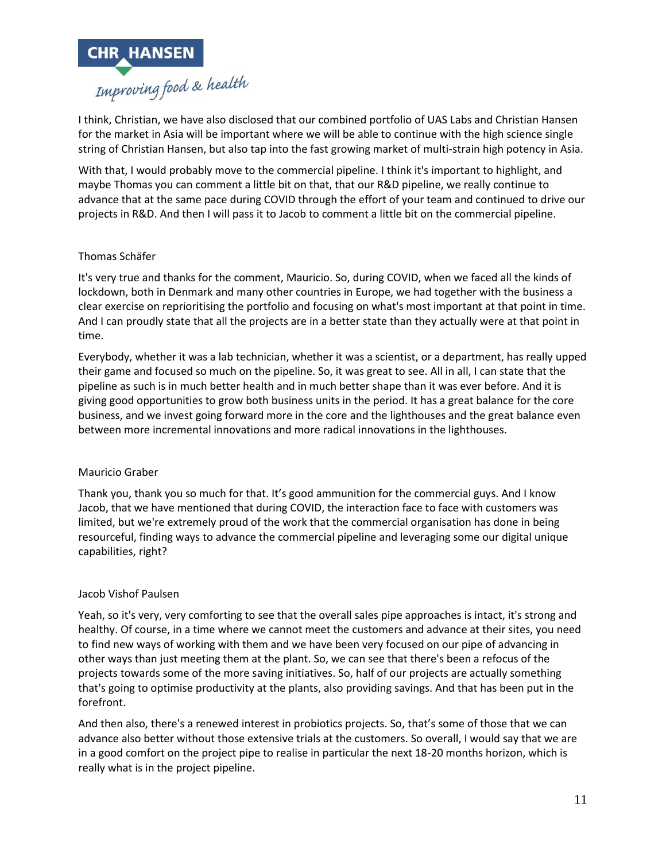

I think, Christian, we have also disclosed that our combined portfolio of UAS Labs and Christian Hansen for the market in Asia will be important where we will be able to continue with the high science single string of Christian Hansen, but also tap into the fast growing market of multi-strain high potency in Asia.

With that, I would probably move to the commercial pipeline. I think it's important to highlight, and maybe Thomas you can comment a little bit on that, that our R&D pipeline, we really continue to advance that at the same pace during COVID through the effort of your team and continued to drive our projects in R&D. And then I will pass it to Jacob to comment a little bit on the commercial pipeline.

## Thomas Schäfer

It's very true and thanks for the comment, Mauricio. So, during COVID, when we faced all the kinds of lockdown, both in Denmark and many other countries in Europe, we had together with the business a clear exercise on reprioritising the portfolio and focusing on what's most important at that point in time. And I can proudly state that all the projects are in a better state than they actually were at that point in time.

Everybody, whether it was a lab technician, whether it was a scientist, or a department, has really upped their game and focused so much on the pipeline. So, it was great to see. All in all, I can state that the pipeline as such is in much better health and in much better shape than it was ever before. And it is giving good opportunities to grow both business units in the period. It has a great balance for the core business, and we invest going forward more in the core and the lighthouses and the great balance even between more incremental innovations and more radical innovations in the lighthouses.

#### Mauricio Graber

Thank you, thank you so much for that. It's good ammunition for the commercial guys. And I know Jacob, that we have mentioned that during COVID, the interaction face to face with customers was limited, but we're extremely proud of the work that the commercial organisation has done in being resourceful, finding ways to advance the commercial pipeline and leveraging some our digital unique capabilities, right?

#### Jacob Vishof Paulsen

Yeah, so it's very, very comforting to see that the overall sales pipe approaches is intact, it's strong and healthy. Of course, in a time where we cannot meet the customers and advance at their sites, you need to find new ways of working with them and we have been very focused on our pipe of advancing in other ways than just meeting them at the plant. So, we can see that there's been a refocus of the projects towards some of the more saving initiatives. So, half of our projects are actually something that's going to optimise productivity at the plants, also providing savings. And that has been put in the forefront.

And then also, there's a renewed interest in probiotics projects. So, that's some of those that we can advance also better without those extensive trials at the customers. So overall, I would say that we are in a good comfort on the project pipe to realise in particular the next 18-20 months horizon, which is really what is in the project pipeline.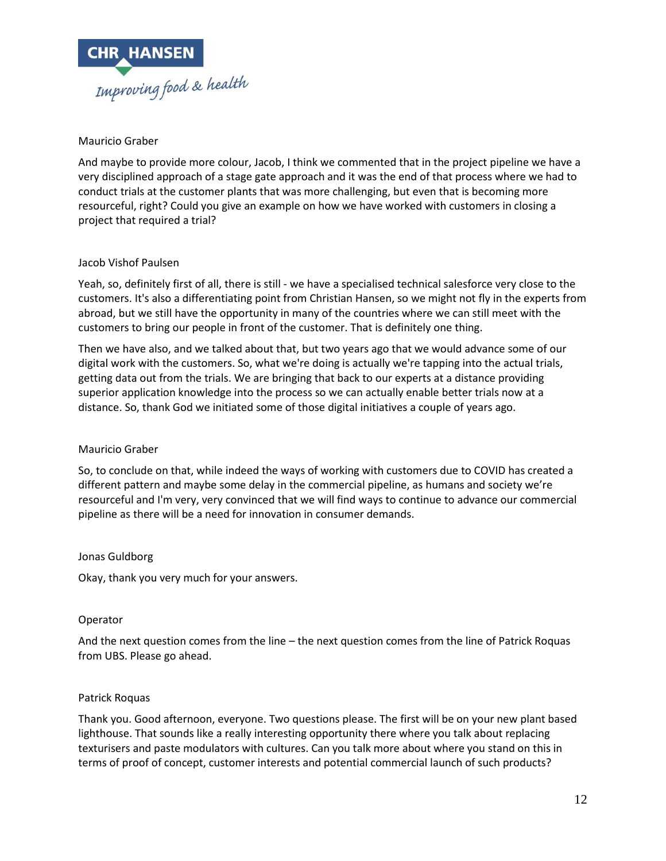

## Mauricio Graber

And maybe to provide more colour, Jacob, I think we commented that in the project pipeline we have a very disciplined approach of a stage gate approach and it was the end of that process where we had to conduct trials at the customer plants that was more challenging, but even that is becoming more resourceful, right? Could you give an example on how we have worked with customers in closing a project that required a trial?

# Jacob Vishof Paulsen

Yeah, so, definitely first of all, there is still - we have a specialised technical salesforce very close to the customers. It's also a differentiating point from Christian Hansen, so we might not fly in the experts from abroad, but we still have the opportunity in many of the countries where we can still meet with the customers to bring our people in front of the customer. That is definitely one thing.

Then we have also, and we talked about that, but two years ago that we would advance some of our digital work with the customers. So, what we're doing is actually we're tapping into the actual trials, getting data out from the trials. We are bringing that back to our experts at a distance providing superior application knowledge into the process so we can actually enable better trials now at a distance. So, thank God we initiated some of those digital initiatives a couple of years ago.

## Mauricio Graber

So, to conclude on that, while indeed the ways of working with customers due to COVID has created a different pattern and maybe some delay in the commercial pipeline, as humans and society we're resourceful and I'm very, very convinced that we will find ways to continue to advance our commercial pipeline as there will be a need for innovation in consumer demands.

## Jonas Guldborg

Okay, thank you very much for your answers.

## Operator

And the next question comes from the line – the next question comes from the line of Patrick Roquas from UBS. Please go ahead.

## Patrick Roquas

Thank you. Good afternoon, everyone. Two questions please. The first will be on your new plant based lighthouse. That sounds like a really interesting opportunity there where you talk about replacing texturisers and paste modulators with cultures. Can you talk more about where you stand on this in terms of proof of concept, customer interests and potential commercial launch of such products?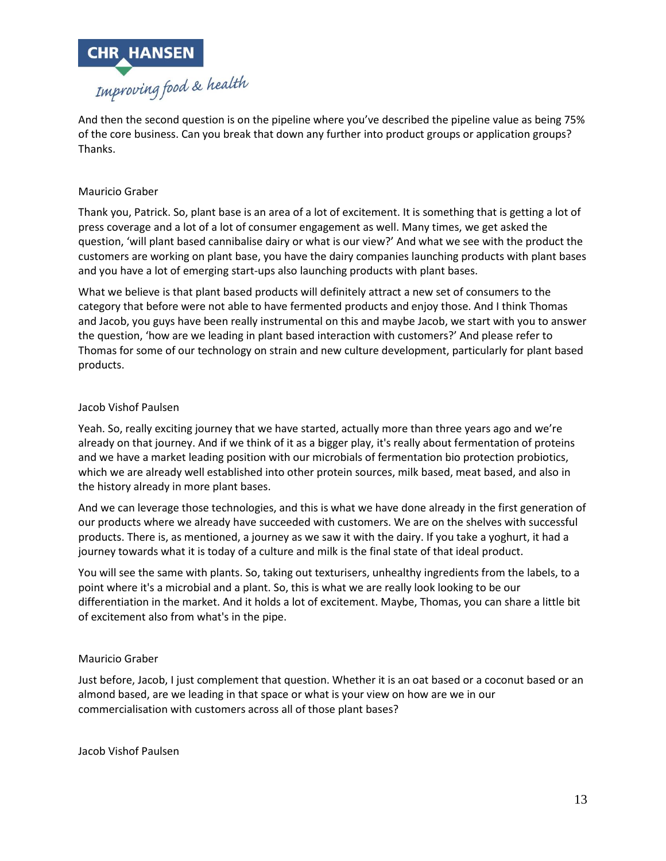

And then the second question is on the pipeline where you've described the pipeline value as being 75% of the core business. Can you break that down any further into product groups or application groups? Thanks.

# Mauricio Graber

Thank you, Patrick. So, plant base is an area of a lot of excitement. It is something that is getting a lot of press coverage and a lot of a lot of consumer engagement as well. Many times, we get asked the question, 'will plant based cannibalise dairy or what is our view?' And what we see with the product the customers are working on plant base, you have the dairy companies launching products with plant bases and you have a lot of emerging start-ups also launching products with plant bases.

What we believe is that plant based products will definitely attract a new set of consumers to the category that before were not able to have fermented products and enjoy those. And I think Thomas and Jacob, you guys have been really instrumental on this and maybe Jacob, we start with you to answer the question, 'how are we leading in plant based interaction with customers?' And please refer to Thomas for some of our technology on strain and new culture development, particularly for plant based products.

## Jacob Vishof Paulsen

Yeah. So, really exciting journey that we have started, actually more than three years ago and we're already on that journey. And if we think of it as a bigger play, it's really about fermentation of proteins and we have a market leading position with our microbials of fermentation bio protection probiotics, which we are already well established into other protein sources, milk based, meat based, and also in the history already in more plant bases.

And we can leverage those technologies, and this is what we have done already in the first generation of our products where we already have succeeded with customers. We are on the shelves with successful products. There is, as mentioned, a journey as we saw it with the dairy. If you take a yoghurt, it had a journey towards what it is today of a culture and milk is the final state of that ideal product.

You will see the same with plants. So, taking out texturisers, unhealthy ingredients from the labels, to a point where it's a microbial and a plant. So, this is what we are really look looking to be our differentiation in the market. And it holds a lot of excitement. Maybe, Thomas, you can share a little bit of excitement also from what's in the pipe.

## Mauricio Graber

Just before, Jacob, I just complement that question. Whether it is an oat based or a coconut based or an almond based, are we leading in that space or what is your view on how are we in our commercialisation with customers across all of those plant bases?

Jacob Vishof Paulsen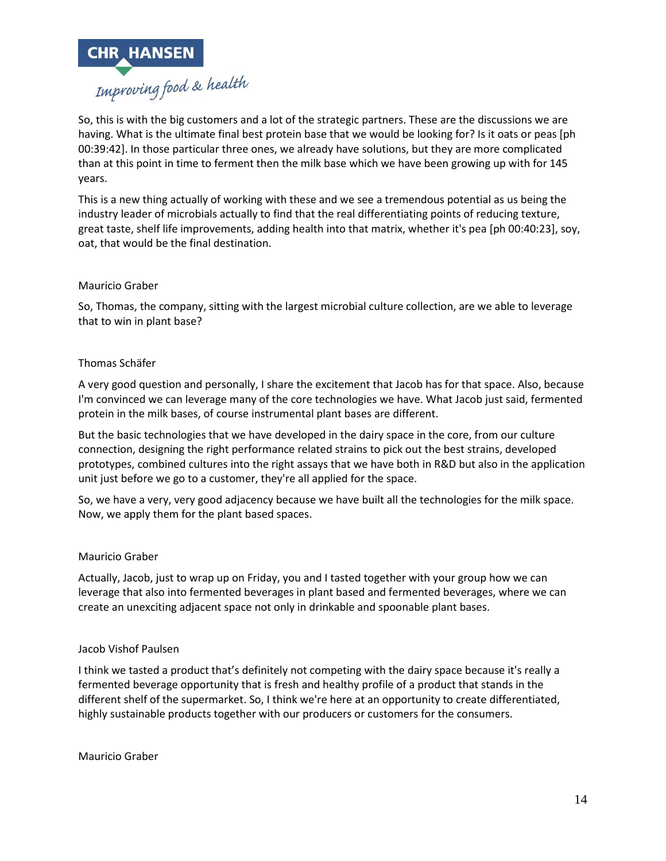

So, this is with the big customers and a lot of the strategic partners. These are the discussions we are having. What is the ultimate final best protein base that we would be looking for? Is it oats or peas [ph 00:39:42]. In those particular three ones, we already have solutions, but they are more complicated than at this point in time to ferment then the milk base which we have been growing up with for 145 years.

This is a new thing actually of working with these and we see a tremendous potential as us being the industry leader of microbials actually to find that the real differentiating points of reducing texture, great taste, shelf life improvements, adding health into that matrix, whether it's pea [ph 00:40:23], soy, oat, that would be the final destination.

#### Mauricio Graber

So, Thomas, the company, sitting with the largest microbial culture collection, are we able to leverage that to win in plant base?

#### Thomas Schäfer

A very good question and personally, I share the excitement that Jacob has for that space. Also, because I'm convinced we can leverage many of the core technologies we have. What Jacob just said, fermented protein in the milk bases, of course instrumental plant bases are different.

But the basic technologies that we have developed in the dairy space in the core, from our culture connection, designing the right performance related strains to pick out the best strains, developed prototypes, combined cultures into the right assays that we have both in R&D but also in the application unit just before we go to a customer, they're all applied for the space.

So, we have a very, very good adjacency because we have built all the technologies for the milk space. Now, we apply them for the plant based spaces.

#### Mauricio Graber

Actually, Jacob, just to wrap up on Friday, you and I tasted together with your group how we can leverage that also into fermented beverages in plant based and fermented beverages, where we can create an unexciting adjacent space not only in drinkable and spoonable plant bases.

#### Jacob Vishof Paulsen

I think we tasted a product that's definitely not competing with the dairy space because it's really a fermented beverage opportunity that is fresh and healthy profile of a product that stands in the different shelf of the supermarket. So, I think we're here at an opportunity to create differentiated, highly sustainable products together with our producers or customers for the consumers.

Mauricio Graber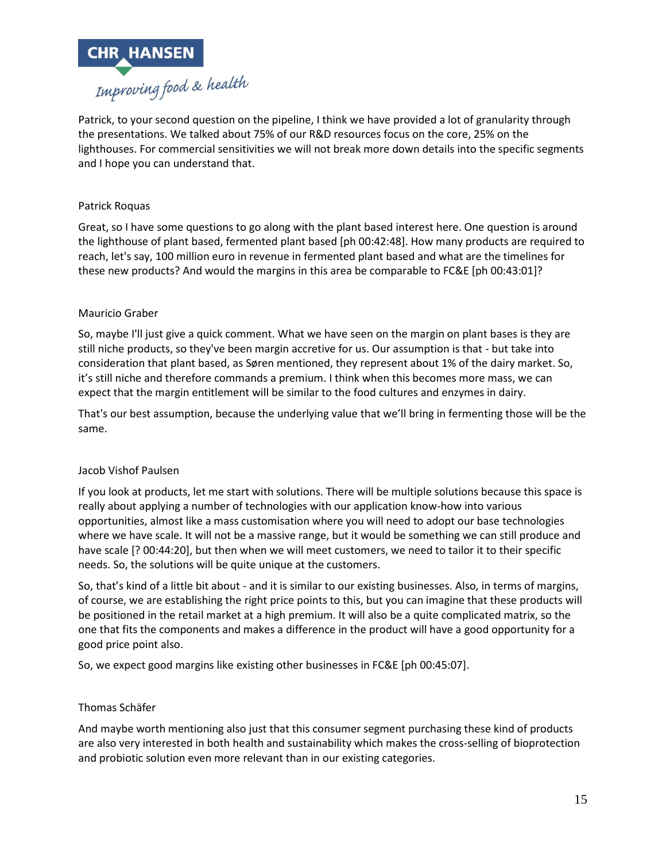

Patrick, to your second question on the pipeline, I think we have provided a lot of granularity through the presentations. We talked about 75% of our R&D resources focus on the core, 25% on the lighthouses. For commercial sensitivities we will not break more down details into the specific segments and I hope you can understand that.

## Patrick Roquas

Great, so I have some questions to go along with the plant based interest here. One question is around the lighthouse of plant based, fermented plant based [ph 00:42:48]. How many products are required to reach, let's say, 100 million euro in revenue in fermented plant based and what are the timelines for these new products? And would the margins in this area be comparable to FC&E [ph 00:43:01]?

#### Mauricio Graber

So, maybe I'll just give a quick comment. What we have seen on the margin on plant bases is they are still niche products, so they've been margin accretive for us. Our assumption is that - but take into consideration that plant based, as Søren mentioned, they represent about 1% of the dairy market. So, it's still niche and therefore commands a premium. I think when this becomes more mass, we can expect that the margin entitlement will be similar to the food cultures and enzymes in dairy.

That's our best assumption, because the underlying value that we'll bring in fermenting those will be the same.

#### Jacob Vishof Paulsen

If you look at products, let me start with solutions. There will be multiple solutions because this space is really about applying a number of technologies with our application know-how into various opportunities, almost like a mass customisation where you will need to adopt our base technologies where we have scale. It will not be a massive range, but it would be something we can still produce and have scale [? 00:44:20], but then when we will meet customers, we need to tailor it to their specific needs. So, the solutions will be quite unique at the customers.

So, that's kind of a little bit about - and it is similar to our existing businesses. Also, in terms of margins, of course, we are establishing the right price points to this, but you can imagine that these products will be positioned in the retail market at a high premium. It will also be a quite complicated matrix, so the one that fits the components and makes a difference in the product will have a good opportunity for a good price point also.

So, we expect good margins like existing other businesses in FC&E [ph 00:45:07].

#### Thomas Schäfer

And maybe worth mentioning also just that this consumer segment purchasing these kind of products are also very interested in both health and sustainability which makes the cross-selling of bioprotection and probiotic solution even more relevant than in our existing categories.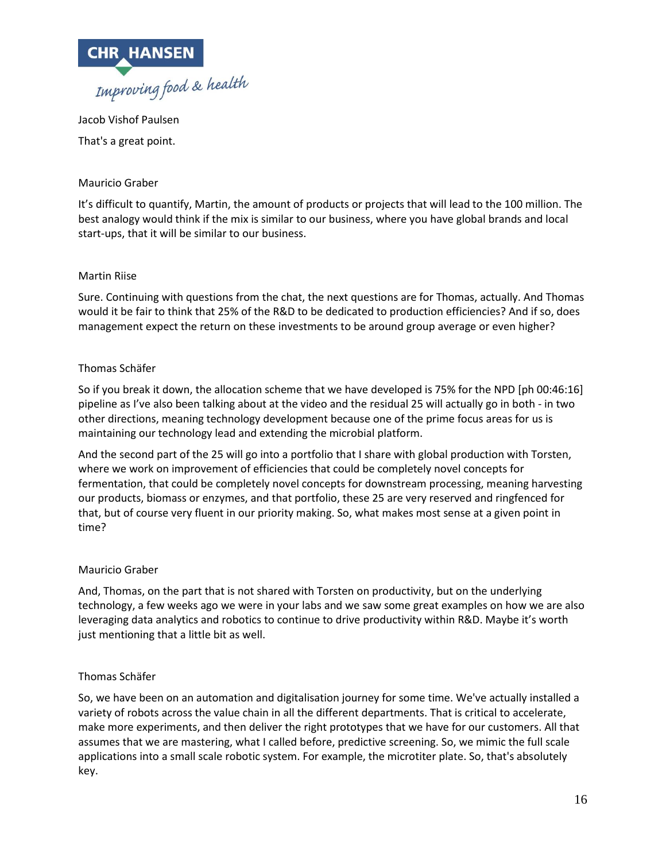

Jacob Vishof Paulsen That's a great point.

# Mauricio Graber

It's difficult to quantify, Martin, the amount of products or projects that will lead to the 100 million. The best analogy would think if the mix is similar to our business, where you have global brands and local start-ups, that it will be similar to our business.

## Martin Riise

Sure. Continuing with questions from the chat, the next questions are for Thomas, actually. And Thomas would it be fair to think that 25% of the R&D to be dedicated to production efficiencies? And if so, does management expect the return on these investments to be around group average or even higher?

## Thomas Schäfer

So if you break it down, the allocation scheme that we have developed is 75% for the NPD [ph 00:46:16] pipeline as I've also been talking about at the video and the residual 25 will actually go in both - in two other directions, meaning technology development because one of the prime focus areas for us is maintaining our technology lead and extending the microbial platform.

And the second part of the 25 will go into a portfolio that I share with global production with Torsten, where we work on improvement of efficiencies that could be completely novel concepts for fermentation, that could be completely novel concepts for downstream processing, meaning harvesting our products, biomass or enzymes, and that portfolio, these 25 are very reserved and ringfenced for that, but of course very fluent in our priority making. So, what makes most sense at a given point in time?

## Mauricio Graber

And, Thomas, on the part that is not shared with Torsten on productivity, but on the underlying technology, a few weeks ago we were in your labs and we saw some great examples on how we are also leveraging data analytics and robotics to continue to drive productivity within R&D. Maybe it's worth just mentioning that a little bit as well.

## Thomas Schäfer

So, we have been on an automation and digitalisation journey for some time. We've actually installed a variety of robots across the value chain in all the different departments. That is critical to accelerate, make more experiments, and then deliver the right prototypes that we have for our customers. All that assumes that we are mastering, what I called before, predictive screening. So, we mimic the full scale applications into a small scale robotic system. For example, the microtiter plate. So, that's absolutely key.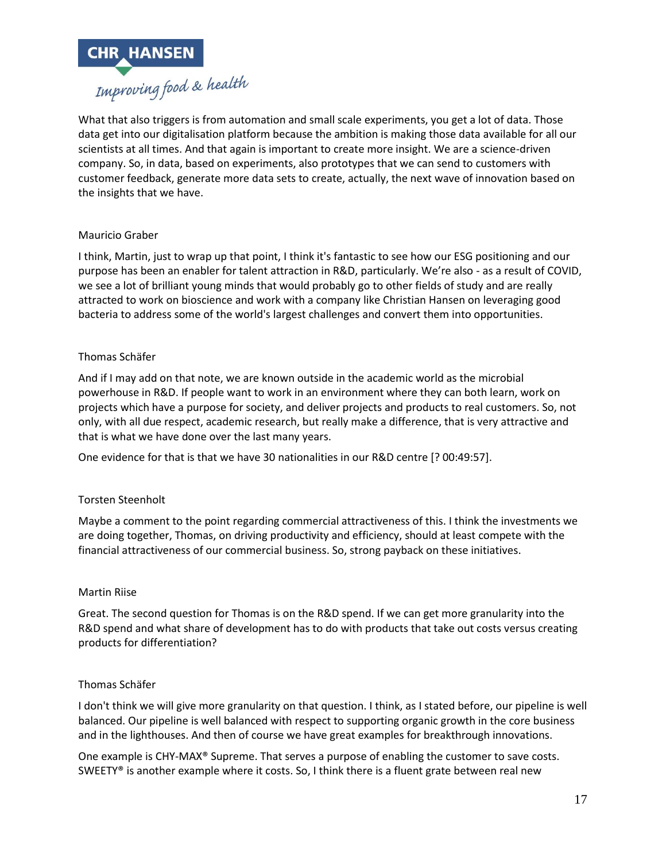

What that also triggers is from automation and small scale experiments, you get a lot of data. Those data get into our digitalisation platform because the ambition is making those data available for all our scientists at all times. And that again is important to create more insight. We are a science-driven company. So, in data, based on experiments, also prototypes that we can send to customers with customer feedback, generate more data sets to create, actually, the next wave of innovation based on the insights that we have.

# Mauricio Graber

I think, Martin, just to wrap up that point, I think it's fantastic to see how our ESG positioning and our purpose has been an enabler for talent attraction in R&D, particularly. We're also - as a result of COVID, we see a lot of brilliant young minds that would probably go to other fields of study and are really attracted to work on bioscience and work with a company like Christian Hansen on leveraging good bacteria to address some of the world's largest challenges and convert them into opportunities.

## Thomas Schäfer

And if I may add on that note, we are known outside in the academic world as the microbial powerhouse in R&D. If people want to work in an environment where they can both learn, work on projects which have a purpose for society, and deliver projects and products to real customers. So, not only, with all due respect, academic research, but really make a difference, that is very attractive and that is what we have done over the last many years.

One evidence for that is that we have 30 nationalities in our R&D centre [? 00:49:57].

## Torsten Steenholt

Maybe a comment to the point regarding commercial attractiveness of this. I think the investments we are doing together, Thomas, on driving productivity and efficiency, should at least compete with the financial attractiveness of our commercial business. So, strong payback on these initiatives.

## Martin Riise

Great. The second question for Thomas is on the R&D spend. If we can get more granularity into the R&D spend and what share of development has to do with products that take out costs versus creating products for differentiation?

## Thomas Schäfer

I don't think we will give more granularity on that question. I think, as I stated before, our pipeline is well balanced. Our pipeline is well balanced with respect to supporting organic growth in the core business and in the lighthouses. And then of course we have great examples for breakthrough innovations.

One example is CHY-MAX® Supreme. That serves a purpose of enabling the customer to save costs. SWEETY® is another example where it costs. So, I think there is a fluent grate between real new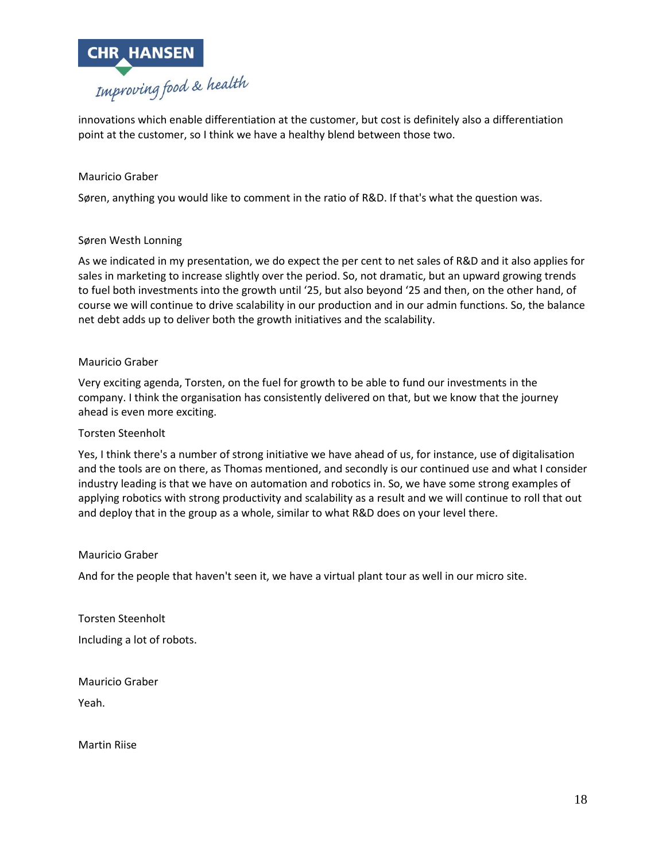

innovations which enable differentiation at the customer, but cost is definitely also a differentiation point at the customer, so I think we have a healthy blend between those two.

## Mauricio Graber

Søren, anything you would like to comment in the ratio of R&D. If that's what the question was.

#### Søren Westh Lonning

As we indicated in my presentation, we do expect the per cent to net sales of R&D and it also applies for sales in marketing to increase slightly over the period. So, not dramatic, but an upward growing trends to fuel both investments into the growth until '25, but also beyond '25 and then, on the other hand, of course we will continue to drive scalability in our production and in our admin functions. So, the balance net debt adds up to deliver both the growth initiatives and the scalability.

#### Mauricio Graber

Very exciting agenda, Torsten, on the fuel for growth to be able to fund our investments in the company. I think the organisation has consistently delivered on that, but we know that the journey ahead is even more exciting.

#### Torsten Steenholt

Yes, I think there's a number of strong initiative we have ahead of us, for instance, use of digitalisation and the tools are on there, as Thomas mentioned, and secondly is our continued use and what I consider industry leading is that we have on automation and robotics in. So, we have some strong examples of applying robotics with strong productivity and scalability as a result and we will continue to roll that out and deploy that in the group as a whole, similar to what R&D does on your level there.

#### Mauricio Graber

And for the people that haven't seen it, we have a virtual plant tour as well in our micro site.

Torsten Steenholt Including a lot of robots.

Mauricio Graber Yeah.

Martin Riise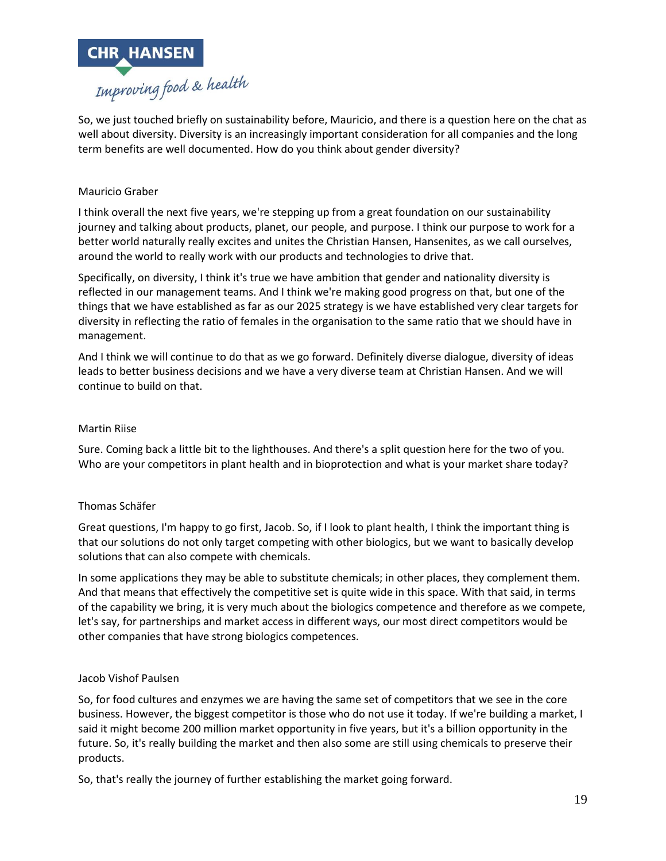

So, we just touched briefly on sustainability before, Mauricio, and there is a question here on the chat as well about diversity. Diversity is an increasingly important consideration for all companies and the long term benefits are well documented. How do you think about gender diversity?

# Mauricio Graber

I think overall the next five years, we're stepping up from a great foundation on our sustainability journey and talking about products, planet, our people, and purpose. I think our purpose to work for a better world naturally really excites and unites the Christian Hansen, Hansenites, as we call ourselves, around the world to really work with our products and technologies to drive that.

Specifically, on diversity, I think it's true we have ambition that gender and nationality diversity is reflected in our management teams. And I think we're making good progress on that, but one of the things that we have established as far as our 2025 strategy is we have established very clear targets for diversity in reflecting the ratio of females in the organisation to the same ratio that we should have in management.

And I think we will continue to do that as we go forward. Definitely diverse dialogue, diversity of ideas leads to better business decisions and we have a very diverse team at Christian Hansen. And we will continue to build on that.

#### Martin Riise

Sure. Coming back a little bit to the lighthouses. And there's a split question here for the two of you. Who are your competitors in plant health and in bioprotection and what is your market share today?

## Thomas Schäfer

Great questions, I'm happy to go first, Jacob. So, if I look to plant health, I think the important thing is that our solutions do not only target competing with other biologics, but we want to basically develop solutions that can also compete with chemicals.

In some applications they may be able to substitute chemicals; in other places, they complement them. And that means that effectively the competitive set is quite wide in this space. With that said, in terms of the capability we bring, it is very much about the biologics competence and therefore as we compete, let's say, for partnerships and market access in different ways, our most direct competitors would be other companies that have strong biologics competences.

#### Jacob Vishof Paulsen

So, for food cultures and enzymes we are having the same set of competitors that we see in the core business. However, the biggest competitor is those who do not use it today. If we're building a market, I said it might become 200 million market opportunity in five years, but it's a billion opportunity in the future. So, it's really building the market and then also some are still using chemicals to preserve their products.

So, that's really the journey of further establishing the market going forward.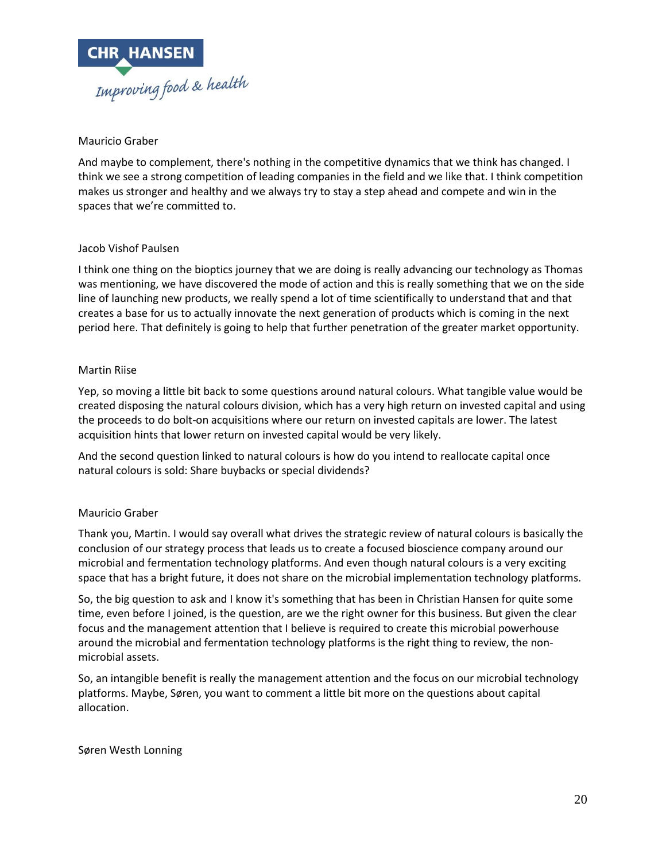

## Mauricio Graber

And maybe to complement, there's nothing in the competitive dynamics that we think has changed. I think we see a strong competition of leading companies in the field and we like that. I think competition makes us stronger and healthy and we always try to stay a step ahead and compete and win in the spaces that we're committed to.

#### Jacob Vishof Paulsen

I think one thing on the bioptics journey that we are doing is really advancing our technology as Thomas was mentioning, we have discovered the mode of action and this is really something that we on the side line of launching new products, we really spend a lot of time scientifically to understand that and that creates a base for us to actually innovate the next generation of products which is coming in the next period here. That definitely is going to help that further penetration of the greater market opportunity.

#### Martin Riise

Yep, so moving a little bit back to some questions around natural colours. What tangible value would be created disposing the natural colours division, which has a very high return on invested capital and using the proceeds to do bolt-on acquisitions where our return on invested capitals are lower. The latest acquisition hints that lower return on invested capital would be very likely.

And the second question linked to natural colours is how do you intend to reallocate capital once natural colours is sold: Share buybacks or special dividends?

## Mauricio Graber

Thank you, Martin. I would say overall what drives the strategic review of natural colours is basically the conclusion of our strategy process that leads us to create a focused bioscience company around our microbial and fermentation technology platforms. And even though natural colours is a very exciting space that has a bright future, it does not share on the microbial implementation technology platforms.

So, the big question to ask and I know it's something that has been in Christian Hansen for quite some time, even before I joined, is the question, are we the right owner for this business. But given the clear focus and the management attention that I believe is required to create this microbial powerhouse around the microbial and fermentation technology platforms is the right thing to review, the nonmicrobial assets.

So, an intangible benefit is really the management attention and the focus on our microbial technology platforms. Maybe, Søren, you want to comment a little bit more on the questions about capital allocation.

#### Søren Westh Lonning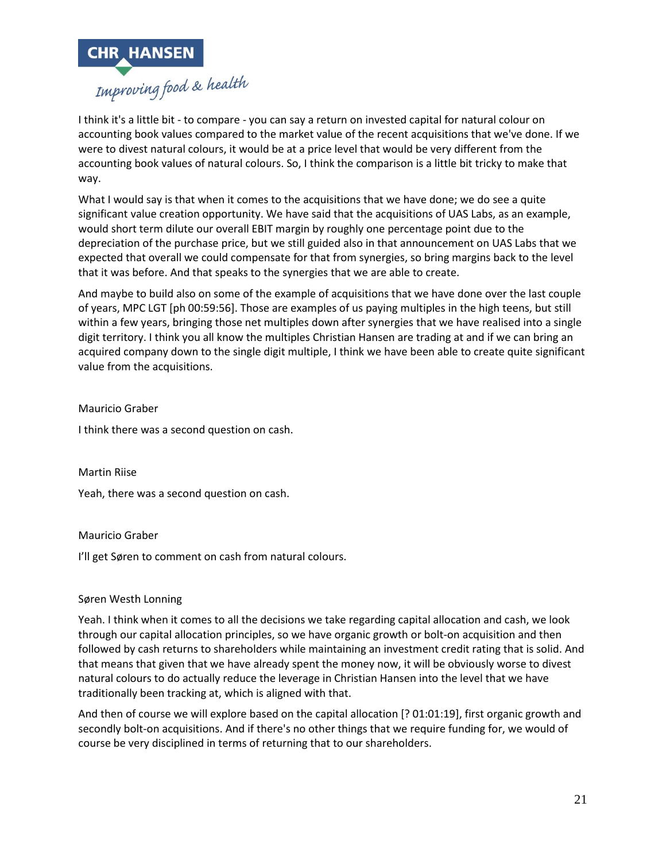

I think it's a little bit - to compare - you can say a return on invested capital for natural colour on accounting book values compared to the market value of the recent acquisitions that we've done. If we were to divest natural colours, it would be at a price level that would be very different from the accounting book values of natural colours. So, I think the comparison is a little bit tricky to make that way.

What I would say is that when it comes to the acquisitions that we have done; we do see a quite significant value creation opportunity. We have said that the acquisitions of UAS Labs, as an example, would short term dilute our overall EBIT margin by roughly one percentage point due to the depreciation of the purchase price, but we still guided also in that announcement on UAS Labs that we expected that overall we could compensate for that from synergies, so bring margins back to the level that it was before. And that speaks to the synergies that we are able to create.

And maybe to build also on some of the example of acquisitions that we have done over the last couple of years, MPC LGT [ph 00:59:56]. Those are examples of us paying multiples in the high teens, but still within a few years, bringing those net multiples down after synergies that we have realised into a single digit territory. I think you all know the multiples Christian Hansen are trading at and if we can bring an acquired company down to the single digit multiple, I think we have been able to create quite significant value from the acquisitions.

Mauricio Graber

I think there was a second question on cash.

Martin Riise

Yeah, there was a second question on cash.

## Mauricio Graber

I'll get Søren to comment on cash from natural colours.

## Søren Westh Lonning

Yeah. I think when it comes to all the decisions we take regarding capital allocation and cash, we look through our capital allocation principles, so we have organic growth or bolt-on acquisition and then followed by cash returns to shareholders while maintaining an investment credit rating that is solid. And that means that given that we have already spent the money now, it will be obviously worse to divest natural colours to do actually reduce the leverage in Christian Hansen into the level that we have traditionally been tracking at, which is aligned with that.

And then of course we will explore based on the capital allocation [? 01:01:19], first organic growth and secondly bolt-on acquisitions. And if there's no other things that we require funding for, we would of course be very disciplined in terms of returning that to our shareholders.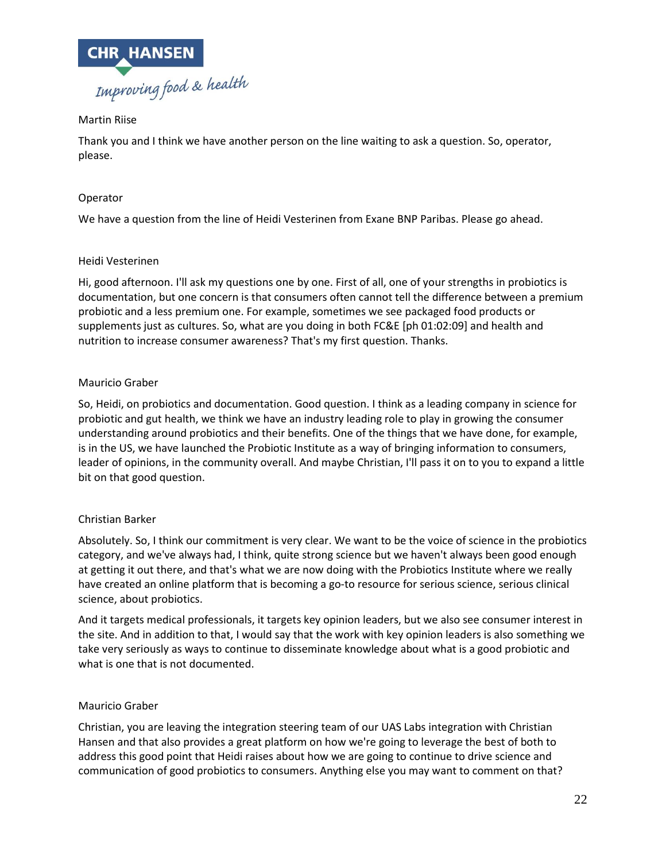

# Martin Riise

Thank you and I think we have another person on the line waiting to ask a question. So, operator, please.

# Operator

We have a question from the line of Heidi Vesterinen from Exane BNP Paribas. Please go ahead.

# Heidi Vesterinen

Hi, good afternoon. I'll ask my questions one by one. First of all, one of your strengths in probiotics is documentation, but one concern is that consumers often cannot tell the difference between a premium probiotic and a less premium one. For example, sometimes we see packaged food products or supplements just as cultures. So, what are you doing in both FC&E [ph 01:02:09] and health and nutrition to increase consumer awareness? That's my first question. Thanks.

# Mauricio Graber

So, Heidi, on probiotics and documentation. Good question. I think as a leading company in science for probiotic and gut health, we think we have an industry leading role to play in growing the consumer understanding around probiotics and their benefits. One of the things that we have done, for example, is in the US, we have launched the Probiotic Institute as a way of bringing information to consumers, leader of opinions, in the community overall. And maybe Christian, I'll pass it on to you to expand a little bit on that good question.

## Christian Barker

Absolutely. So, I think our commitment is very clear. We want to be the voice of science in the probiotics category, and we've always had, I think, quite strong science but we haven't always been good enough at getting it out there, and that's what we are now doing with the Probiotics Institute where we really have created an online platform that is becoming a go-to resource for serious science, serious clinical science, about probiotics.

And it targets medical professionals, it targets key opinion leaders, but we also see consumer interest in the site. And in addition to that, I would say that the work with key opinion leaders is also something we take very seriously as ways to continue to disseminate knowledge about what is a good probiotic and what is one that is not documented.

## Mauricio Graber

Christian, you are leaving the integration steering team of our UAS Labs integration with Christian Hansen and that also provides a great platform on how we're going to leverage the best of both to address this good point that Heidi raises about how we are going to continue to drive science and communication of good probiotics to consumers. Anything else you may want to comment on that?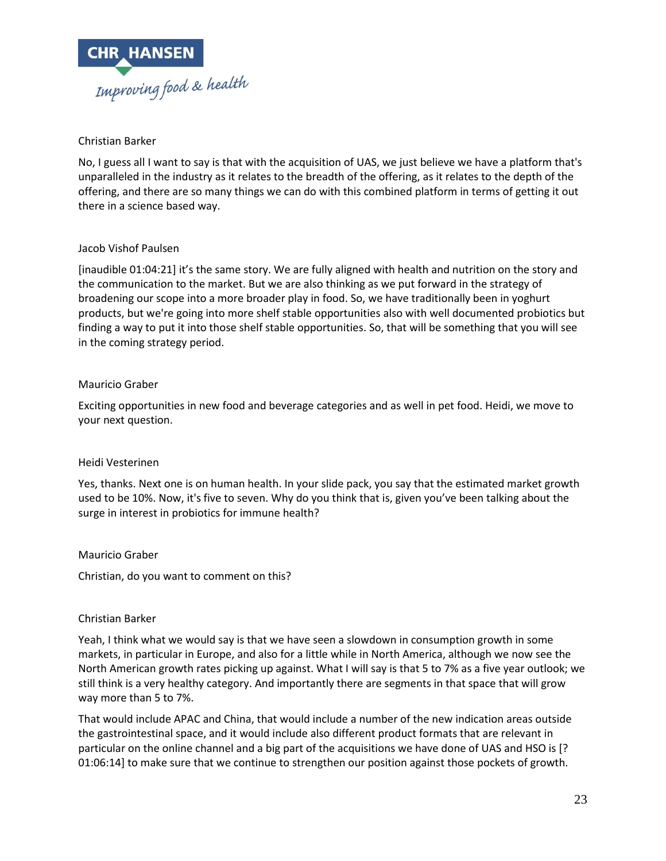

# Christian Barker

No, I guess all I want to say is that with the acquisition of UAS, we just believe we have a platform that's unparalleled in the industry as it relates to the breadth of the offering, as it relates to the depth of the offering, and there are so many things we can do with this combined platform in terms of getting it out there in a science based way.

## Jacob Vishof Paulsen

[inaudible 01:04:21] it's the same story. We are fully aligned with health and nutrition on the story and the communication to the market. But we are also thinking as we put forward in the strategy of broadening our scope into a more broader play in food. So, we have traditionally been in yoghurt products, but we're going into more shelf stable opportunities also with well documented probiotics but finding a way to put it into those shelf stable opportunities. So, that will be something that you will see in the coming strategy period.

# Mauricio Graber

Exciting opportunities in new food and beverage categories and as well in pet food. Heidi, we move to your next question.

## Heidi Vesterinen

Yes, thanks. Next one is on human health. In your slide pack, you say that the estimated market growth used to be 10%. Now, it's five to seven. Why do you think that is, given you've been talking about the surge in interest in probiotics for immune health?

## Mauricio Graber

Christian, do you want to comment on this?

## Christian Barker

Yeah, I think what we would say is that we have seen a slowdown in consumption growth in some markets, in particular in Europe, and also for a little while in North America, although we now see the North American growth rates picking up against. What I will say is that 5 to 7% as a five year outlook; we still think is a very healthy category. And importantly there are segments in that space that will grow way more than 5 to 7%.

That would include APAC and China, that would include a number of the new indication areas outside the gastrointestinal space, and it would include also different product formats that are relevant in particular on the online channel and a big part of the acquisitions we have done of UAS and HSO is [? 01:06:14] to make sure that we continue to strengthen our position against those pockets of growth.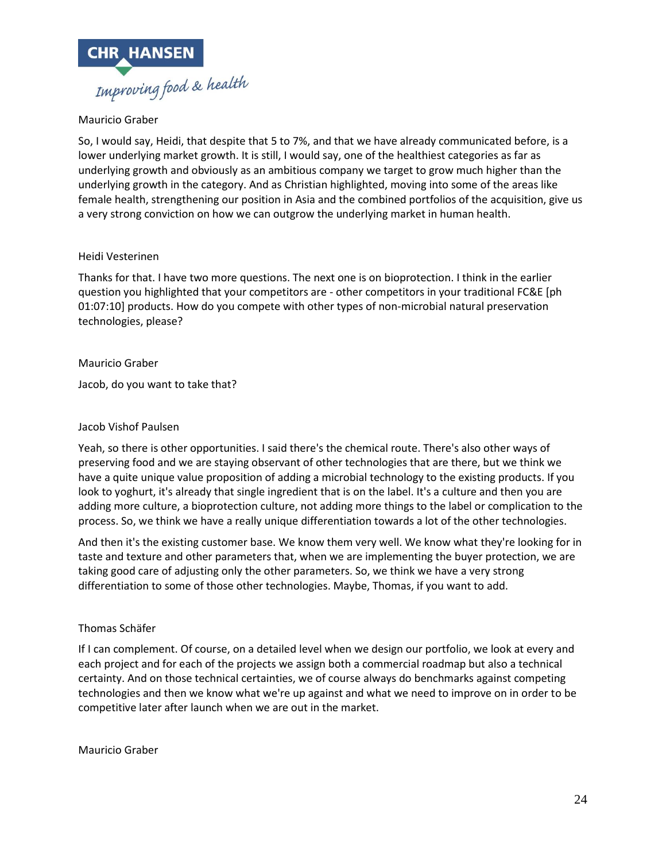

# Mauricio Graber

So, I would say, Heidi, that despite that 5 to 7%, and that we have already communicated before, is a lower underlying market growth. It is still, I would say, one of the healthiest categories as far as underlying growth and obviously as an ambitious company we target to grow much higher than the underlying growth in the category. And as Christian highlighted, moving into some of the areas like female health, strengthening our position in Asia and the combined portfolios of the acquisition, give us a very strong conviction on how we can outgrow the underlying market in human health.

#### Heidi Vesterinen

Thanks for that. I have two more questions. The next one is on bioprotection. I think in the earlier question you highlighted that your competitors are - other competitors in your traditional FC&E [ph 01:07:10] products. How do you compete with other types of non-microbial natural preservation technologies, please?

#### Mauricio Graber

Jacob, do you want to take that?

#### Jacob Vishof Paulsen

Yeah, so there is other opportunities. I said there's the chemical route. There's also other ways of preserving food and we are staying observant of other technologies that are there, but we think we have a quite unique value proposition of adding a microbial technology to the existing products. If you look to yoghurt, it's already that single ingredient that is on the label. It's a culture and then you are adding more culture, a bioprotection culture, not adding more things to the label or complication to the process. So, we think we have a really unique differentiation towards a lot of the other technologies.

And then it's the existing customer base. We know them very well. We know what they're looking for in taste and texture and other parameters that, when we are implementing the buyer protection, we are taking good care of adjusting only the other parameters. So, we think we have a very strong differentiation to some of those other technologies. Maybe, Thomas, if you want to add.

## Thomas Schäfer

If I can complement. Of course, on a detailed level when we design our portfolio, we look at every and each project and for each of the projects we assign both a commercial roadmap but also a technical certainty. And on those technical certainties, we of course always do benchmarks against competing technologies and then we know what we're up against and what we need to improve on in order to be competitive later after launch when we are out in the market.

Mauricio Graber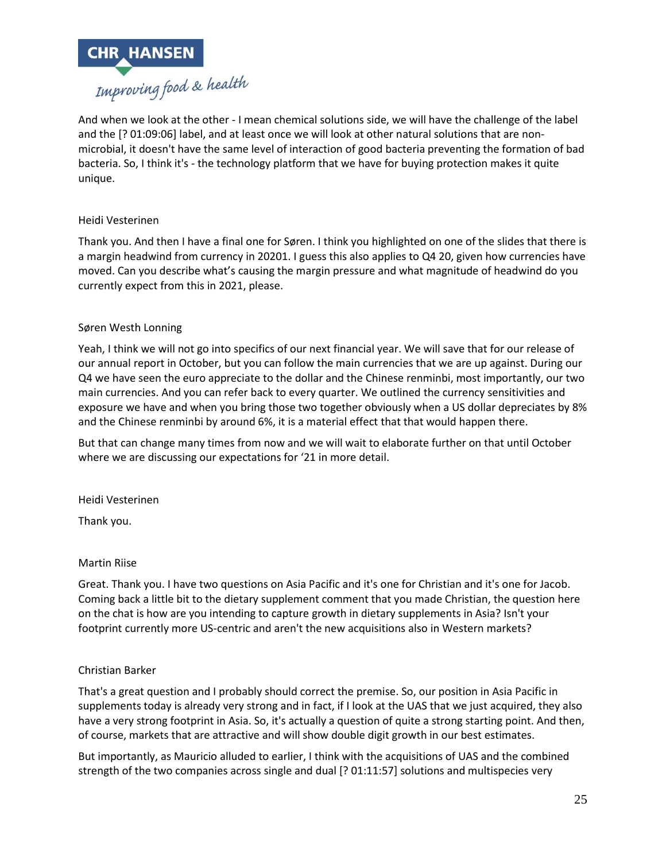

And when we look at the other - I mean chemical solutions side, we will have the challenge of the label and the [? 01:09:06] label, and at least once we will look at other natural solutions that are nonmicrobial, it doesn't have the same level of interaction of good bacteria preventing the formation of bad bacteria. So, I think it's - the technology platform that we have for buying protection makes it quite unique.

# Heidi Vesterinen

Thank you. And then I have a final one for Søren. I think you highlighted on one of the slides that there is a margin headwind from currency in 20201. I guess this also applies to Q4 20, given how currencies have moved. Can you describe what's causing the margin pressure and what magnitude of headwind do you currently expect from this in 2021, please.

## Søren Westh Lonning

Yeah, I think we will not go into specifics of our next financial year. We will save that for our release of our annual report in October, but you can follow the main currencies that we are up against. During our Q4 we have seen the euro appreciate to the dollar and the Chinese renminbi, most importantly, our two main currencies. And you can refer back to every quarter. We outlined the currency sensitivities and exposure we have and when you bring those two together obviously when a US dollar depreciates by 8% and the Chinese renminbi by around 6%, it is a material effect that that would happen there.

But that can change many times from now and we will wait to elaborate further on that until October where we are discussing our expectations for '21 in more detail.

Heidi Vesterinen

Thank you.

## Martin Riise

Great. Thank you. I have two questions on Asia Pacific and it's one for Christian and it's one for Jacob. Coming back a little bit to the dietary supplement comment that you made Christian, the question here on the chat is how are you intending to capture growth in dietary supplements in Asia? Isn't your footprint currently more US-centric and aren't the new acquisitions also in Western markets?

## Christian Barker

That's a great question and I probably should correct the premise. So, our position in Asia Pacific in supplements today is already very strong and in fact, if I look at the UAS that we just acquired, they also have a very strong footprint in Asia. So, it's actually a question of quite a strong starting point. And then, of course, markets that are attractive and will show double digit growth in our best estimates.

But importantly, as Mauricio alluded to earlier, I think with the acquisitions of UAS and the combined strength of the two companies across single and dual [? 01:11:57] solutions and multispecies very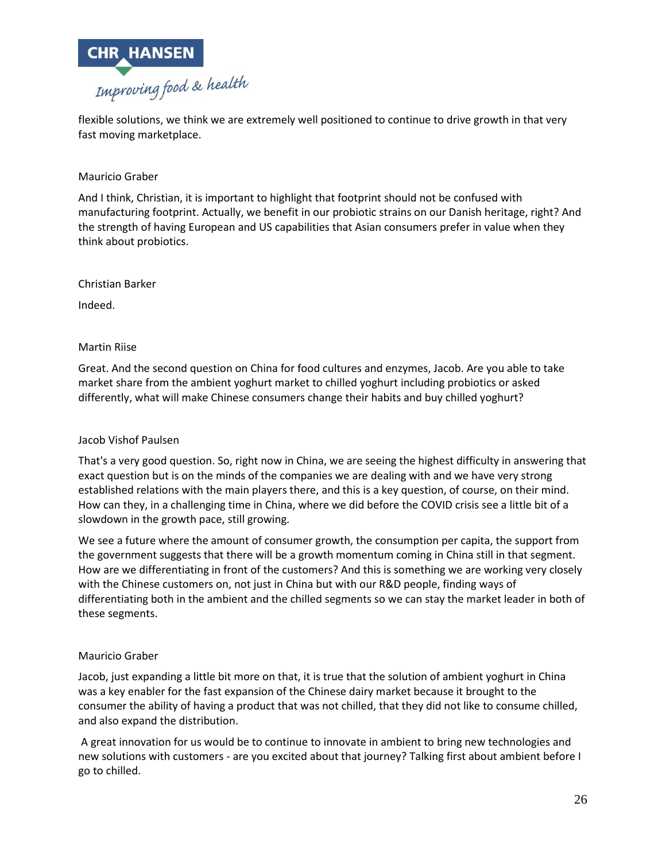

flexible solutions, we think we are extremely well positioned to continue to drive growth in that very fast moving marketplace.

# Mauricio Graber

And I think, Christian, it is important to highlight that footprint should not be confused with manufacturing footprint. Actually, we benefit in our probiotic strains on our Danish heritage, right? And the strength of having European and US capabilities that Asian consumers prefer in value when they think about probiotics.

## Christian Barker

Indeed.

## Martin Riise

Great. And the second question on China for food cultures and enzymes, Jacob. Are you able to take market share from the ambient yoghurt market to chilled yoghurt including probiotics or asked differently, what will make Chinese consumers change their habits and buy chilled yoghurt?

## Jacob Vishof Paulsen

That's a very good question. So, right now in China, we are seeing the highest difficulty in answering that exact question but is on the minds of the companies we are dealing with and we have very strong established relations with the main players there, and this is a key question, of course, on their mind. How can they, in a challenging time in China, where we did before the COVID crisis see a little bit of a slowdown in the growth pace, still growing.

We see a future where the amount of consumer growth, the consumption per capita, the support from the government suggests that there will be a growth momentum coming in China still in that segment. How are we differentiating in front of the customers? And this is something we are working very closely with the Chinese customers on, not just in China but with our R&D people, finding ways of differentiating both in the ambient and the chilled segments so we can stay the market leader in both of these segments.

## Mauricio Graber

Jacob, just expanding a little bit more on that, it is true that the solution of ambient yoghurt in China was a key enabler for the fast expansion of the Chinese dairy market because it brought to the consumer the ability of having a product that was not chilled, that they did not like to consume chilled, and also expand the distribution.

A great innovation for us would be to continue to innovate in ambient to bring new technologies and new solutions with customers - are you excited about that journey? Talking first about ambient before I go to chilled.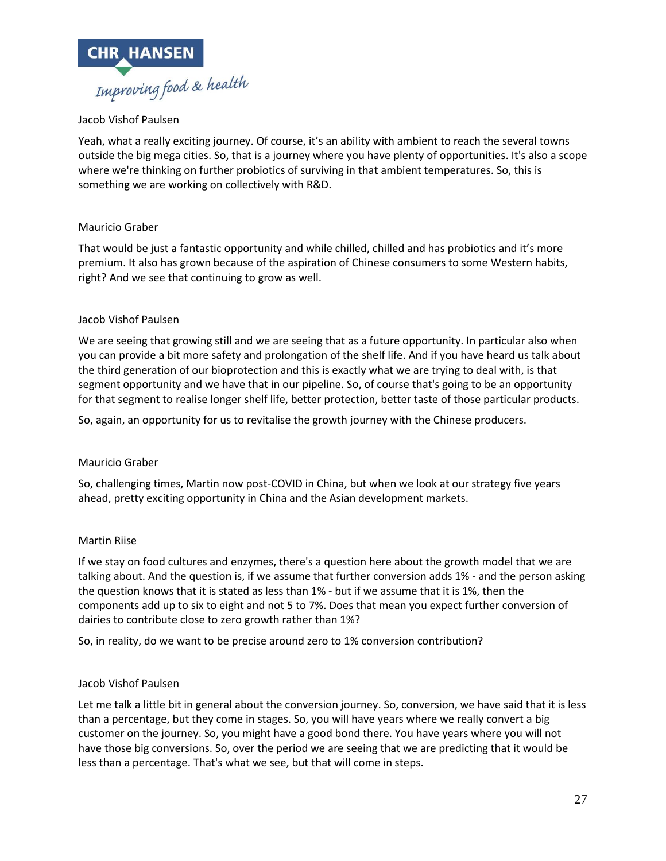

# Jacob Vishof Paulsen

Yeah, what a really exciting journey. Of course, it's an ability with ambient to reach the several towns outside the big mega cities. So, that is a journey where you have plenty of opportunities. It's also a scope where we're thinking on further probiotics of surviving in that ambient temperatures. So, this is something we are working on collectively with R&D.

## Mauricio Graber

That would be just a fantastic opportunity and while chilled, chilled and has probiotics and it's more premium. It also has grown because of the aspiration of Chinese consumers to some Western habits, right? And we see that continuing to grow as well.

## Jacob Vishof Paulsen

We are seeing that growing still and we are seeing that as a future opportunity. In particular also when you can provide a bit more safety and prolongation of the shelf life. And if you have heard us talk about the third generation of our bioprotection and this is exactly what we are trying to deal with, is that segment opportunity and we have that in our pipeline. So, of course that's going to be an opportunity for that segment to realise longer shelf life, better protection, better taste of those particular products.

So, again, an opportunity for us to revitalise the growth journey with the Chinese producers.

## Mauricio Graber

So, challenging times, Martin now post-COVID in China, but when we look at our strategy five years ahead, pretty exciting opportunity in China and the Asian development markets.

#### Martin Riise

If we stay on food cultures and enzymes, there's a question here about the growth model that we are talking about. And the question is, if we assume that further conversion adds 1% - and the person asking the question knows that it is stated as less than 1% - but if we assume that it is 1%, then the components add up to six to eight and not 5 to 7%. Does that mean you expect further conversion of dairies to contribute close to zero growth rather than 1%?

So, in reality, do we want to be precise around zero to 1% conversion contribution?

## Jacob Vishof Paulsen

Let me talk a little bit in general about the conversion journey. So, conversion, we have said that it is less than a percentage, but they come in stages. So, you will have years where we really convert a big customer on the journey. So, you might have a good bond there. You have years where you will not have those big conversions. So, over the period we are seeing that we are predicting that it would be less than a percentage. That's what we see, but that will come in steps.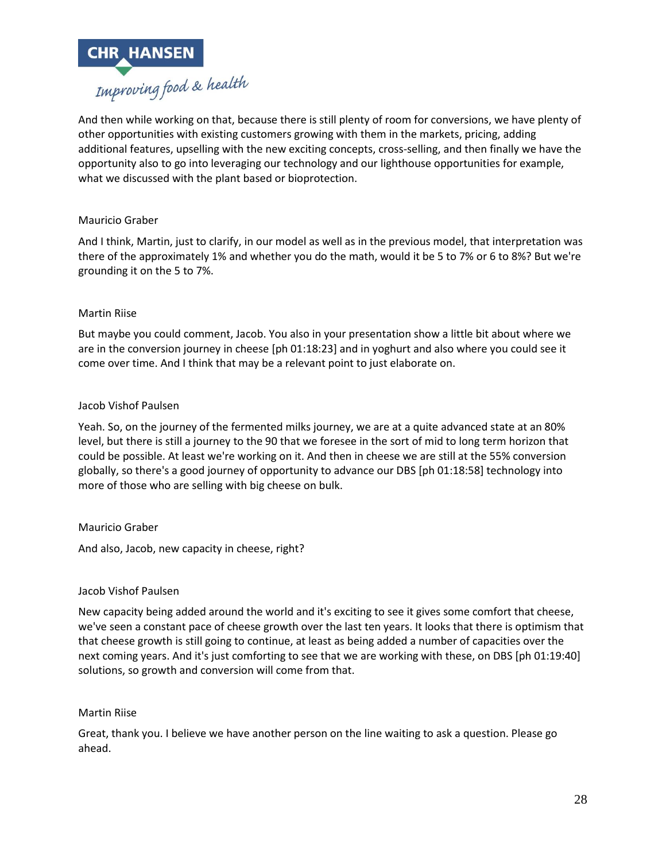

And then while working on that, because there is still plenty of room for conversions, we have plenty of other opportunities with existing customers growing with them in the markets, pricing, adding additional features, upselling with the new exciting concepts, cross-selling, and then finally we have the opportunity also to go into leveraging our technology and our lighthouse opportunities for example, what we discussed with the plant based or bioprotection.

## Mauricio Graber

And I think, Martin, just to clarify, in our model as well as in the previous model, that interpretation was there of the approximately 1% and whether you do the math, would it be 5 to 7% or 6 to 8%? But we're grounding it on the 5 to 7%.

#### Martin Riise

But maybe you could comment, Jacob. You also in your presentation show a little bit about where we are in the conversion journey in cheese [ph 01:18:23] and in yoghurt and also where you could see it come over time. And I think that may be a relevant point to just elaborate on.

#### Jacob Vishof Paulsen

Yeah. So, on the journey of the fermented milks journey, we are at a quite advanced state at an 80% level, but there is still a journey to the 90 that we foresee in the sort of mid to long term horizon that could be possible. At least we're working on it. And then in cheese we are still at the 55% conversion globally, so there's a good journey of opportunity to advance our DBS [ph 01:18:58] technology into more of those who are selling with big cheese on bulk.

## Mauricio Graber

And also, Jacob, new capacity in cheese, right?

#### Jacob Vishof Paulsen

New capacity being added around the world and it's exciting to see it gives some comfort that cheese, we've seen a constant pace of cheese growth over the last ten years. It looks that there is optimism that that cheese growth is still going to continue, at least as being added a number of capacities over the next coming years. And it's just comforting to see that we are working with these, on DBS [ph 01:19:40] solutions, so growth and conversion will come from that.

#### Martin Riise

Great, thank you. I believe we have another person on the line waiting to ask a question. Please go ahead.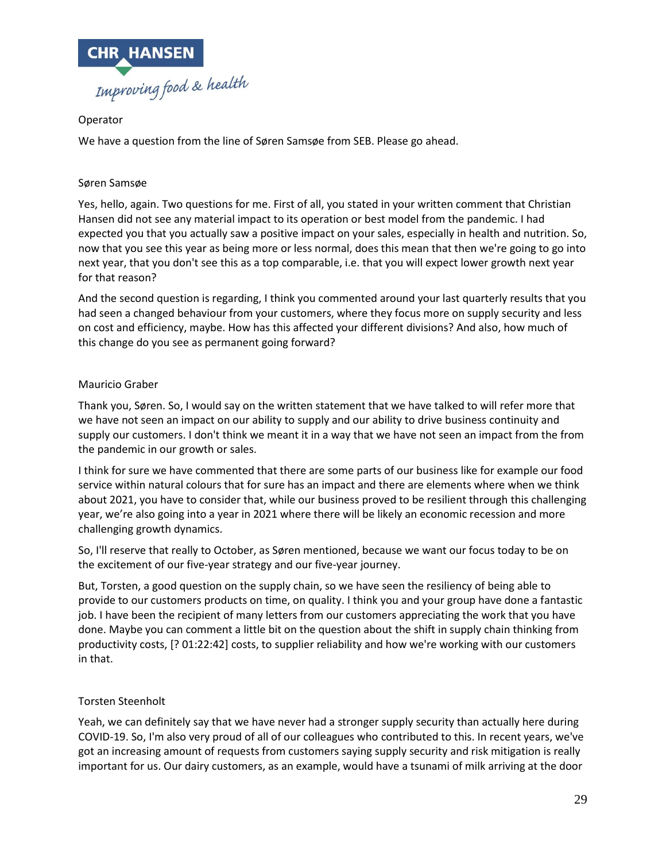

# Operator

We have a question from the line of Søren Samsøe from SEB. Please go ahead.

# Søren Samsøe

Yes, hello, again. Two questions for me. First of all, you stated in your written comment that Christian Hansen did not see any material impact to its operation or best model from the pandemic. I had expected you that you actually saw a positive impact on your sales, especially in health and nutrition. So, now that you see this year as being more or less normal, does this mean that then we're going to go into next year, that you don't see this as a top comparable, i.e. that you will expect lower growth next year for that reason?

And the second question is regarding, I think you commented around your last quarterly results that you had seen a changed behaviour from your customers, where they focus more on supply security and less on cost and efficiency, maybe. How has this affected your different divisions? And also, how much of this change do you see as permanent going forward?

# Mauricio Graber

Thank you, Søren. So, I would say on the written statement that we have talked to will refer more that we have not seen an impact on our ability to supply and our ability to drive business continuity and supply our customers. I don't think we meant it in a way that we have not seen an impact from the from the pandemic in our growth or sales.

I think for sure we have commented that there are some parts of our business like for example our food service within natural colours that for sure has an impact and there are elements where when we think about 2021, you have to consider that, while our business proved to be resilient through this challenging year, we're also going into a year in 2021 where there will be likely an economic recession and more challenging growth dynamics.

So, I'll reserve that really to October, as Søren mentioned, because we want our focus today to be on the excitement of our five-year strategy and our five-year journey.

But, Torsten, a good question on the supply chain, so we have seen the resiliency of being able to provide to our customers products on time, on quality. I think you and your group have done a fantastic job. I have been the recipient of many letters from our customers appreciating the work that you have done. Maybe you can comment a little bit on the question about the shift in supply chain thinking from productivity costs, [? 01:22:42] costs, to supplier reliability and how we're working with our customers in that.

## Torsten Steenholt

Yeah, we can definitely say that we have never had a stronger supply security than actually here during COVID-19. So, I'm also very proud of all of our colleagues who contributed to this. In recent years, we've got an increasing amount of requests from customers saying supply security and risk mitigation is really important for us. Our dairy customers, as an example, would have a tsunami of milk arriving at the door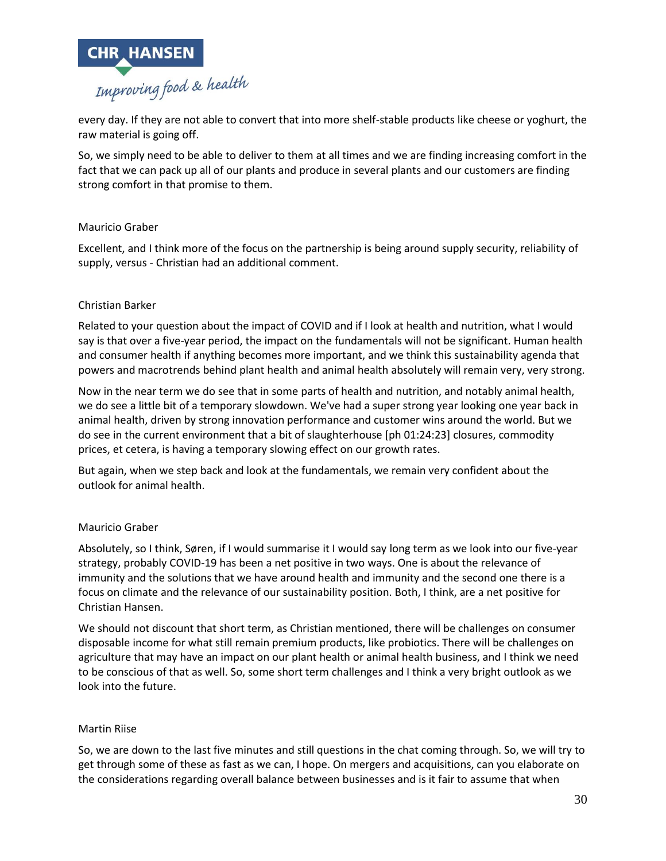

every day. If they are not able to convert that into more shelf-stable products like cheese or yoghurt, the raw material is going off.

So, we simply need to be able to deliver to them at all times and we are finding increasing comfort in the fact that we can pack up all of our plants and produce in several plants and our customers are finding strong comfort in that promise to them.

## Mauricio Graber

Excellent, and I think more of the focus on the partnership is being around supply security, reliability of supply, versus - Christian had an additional comment.

#### Christian Barker

Related to your question about the impact of COVID and if I look at health and nutrition, what I would say is that over a five-year period, the impact on the fundamentals will not be significant. Human health and consumer health if anything becomes more important, and we think this sustainability agenda that powers and macrotrends behind plant health and animal health absolutely will remain very, very strong.

Now in the near term we do see that in some parts of health and nutrition, and notably animal health, we do see a little bit of a temporary slowdown. We've had a super strong year looking one year back in animal health, driven by strong innovation performance and customer wins around the world. But we do see in the current environment that a bit of slaughterhouse [ph 01:24:23] closures, commodity prices, et cetera, is having a temporary slowing effect on our growth rates.

But again, when we step back and look at the fundamentals, we remain very confident about the outlook for animal health.

#### Mauricio Graber

Absolutely, so I think, Søren, if I would summarise it I would say long term as we look into our five-year strategy, probably COVID-19 has been a net positive in two ways. One is about the relevance of immunity and the solutions that we have around health and immunity and the second one there is a focus on climate and the relevance of our sustainability position. Both, I think, are a net positive for Christian Hansen.

We should not discount that short term, as Christian mentioned, there will be challenges on consumer disposable income for what still remain premium products, like probiotics. There will be challenges on agriculture that may have an impact on our plant health or animal health business, and I think we need to be conscious of that as well. So, some short term challenges and I think a very bright outlook as we look into the future.

#### Martin Riise

So, we are down to the last five minutes and still questions in the chat coming through. So, we will try to get through some of these as fast as we can, I hope. On mergers and acquisitions, can you elaborate on the considerations regarding overall balance between businesses and is it fair to assume that when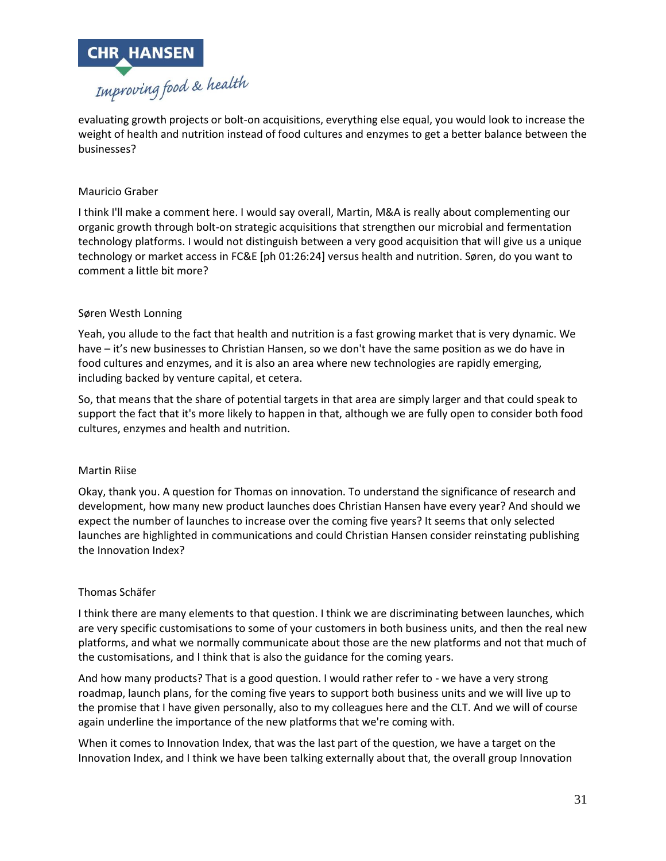

evaluating growth projects or bolt-on acquisitions, everything else equal, you would look to increase the weight of health and nutrition instead of food cultures and enzymes to get a better balance between the businesses?

# Mauricio Graber

I think I'll make a comment here. I would say overall, Martin, M&A is really about complementing our organic growth through bolt-on strategic acquisitions that strengthen our microbial and fermentation technology platforms. I would not distinguish between a very good acquisition that will give us a unique technology or market access in FC&E [ph 01:26:24] versus health and nutrition. Søren, do you want to comment a little bit more?

## Søren Westh Lonning

Yeah, you allude to the fact that health and nutrition is a fast growing market that is very dynamic. We have – it's new businesses to Christian Hansen, so we don't have the same position as we do have in food cultures and enzymes, and it is also an area where new technologies are rapidly emerging, including backed by venture capital, et cetera.

So, that means that the share of potential targets in that area are simply larger and that could speak to support the fact that it's more likely to happen in that, although we are fully open to consider both food cultures, enzymes and health and nutrition.

#### Martin Riise

Okay, thank you. A question for Thomas on innovation. To understand the significance of research and development, how many new product launches does Christian Hansen have every year? And should we expect the number of launches to increase over the coming five years? It seems that only selected launches are highlighted in communications and could Christian Hansen consider reinstating publishing the Innovation Index?

#### Thomas Schäfer

I think there are many elements to that question. I think we are discriminating between launches, which are very specific customisations to some of your customers in both business units, and then the real new platforms, and what we normally communicate about those are the new platforms and not that much of the customisations, and I think that is also the guidance for the coming years.

And how many products? That is a good question. I would rather refer to - we have a very strong roadmap, launch plans, for the coming five years to support both business units and we will live up to the promise that I have given personally, also to my colleagues here and the CLT. And we will of course again underline the importance of the new platforms that we're coming with.

When it comes to Innovation Index, that was the last part of the question, we have a target on the Innovation Index, and I think we have been talking externally about that, the overall group Innovation